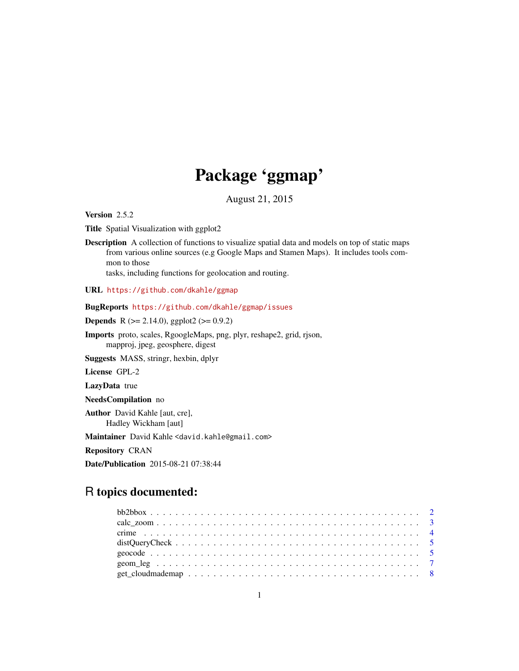## Package 'ggmap'

August 21, 2015

<span id="page-0-0"></span>Version 2.5.2

Title Spatial Visualization with ggplot2

Description A collection of functions to visualize spatial data and models on top of static maps from various online sources (e.g Google Maps and Stamen Maps). It includes tools common to those

tasks, including functions for geolocation and routing.

URL <https://github.com/dkahle/ggmap>

BugReports <https://github.com/dkahle/ggmap/issues>

**Depends** R ( $>= 2.14.0$ ), ggplot2 ( $>= 0.9.2$ )

Imports proto, scales, RgoogleMaps, png, plyr, reshape2, grid, rjson, mapproj, jpeg, geosphere, digest

Suggests MASS, stringr, hexbin, dplyr

License GPL-2

LazyData true

NeedsCompilation no

Author David Kahle [aut, cre], Hadley Wickham [aut]

Maintainer David Kahle <david.kahle@gmail.com>

Repository CRAN

Date/Publication 2015-08-21 07:38:44

## R topics documented: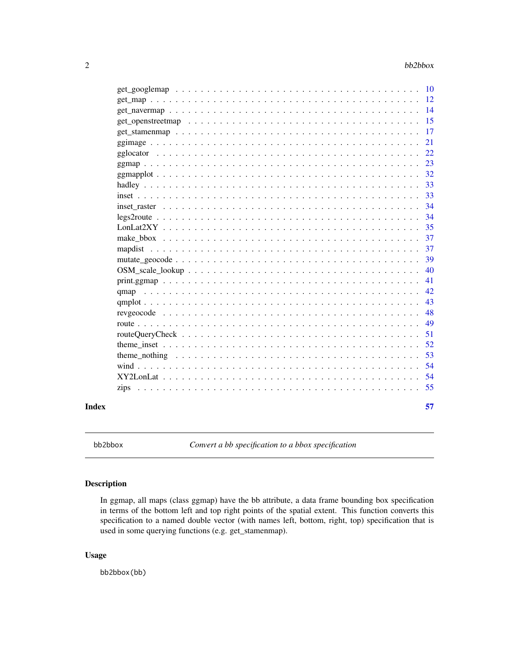<span id="page-1-0"></span>

|  | 57 |  |
|--|----|--|
|  | 55 |  |
|  | 54 |  |
|  | 54 |  |
|  | 53 |  |
|  | 52 |  |
|  | 51 |  |
|  | 49 |  |
|  | 48 |  |
|  | 43 |  |
|  | 42 |  |
|  | 41 |  |
|  | 40 |  |
|  | 39 |  |
|  | 37 |  |
|  | 37 |  |
|  | 35 |  |
|  | 34 |  |
|  | 34 |  |
|  | 33 |  |
|  | 33 |  |
|  | 32 |  |
|  | 23 |  |
|  |    |  |
|  | 21 |  |
|  | 17 |  |
|  |    |  |
|  |    |  |
|  |    |  |

<span id="page-1-1"></span>bb2bbox *Convert a bb specification to a bbox specification*

## Description

In ggmap, all maps (class ggmap) have the bb attribute, a data frame bounding box specification in terms of the bottom left and top right points of the spatial extent. This function converts this specification to a named double vector (with names left, bottom, right, top) specification that is used in some querying functions (e.g. get\_stamenmap).

## Usage

bb2bbox(bb)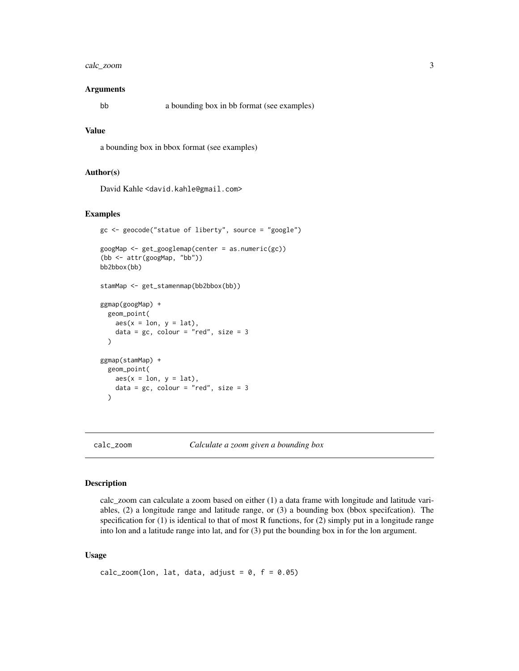## <span id="page-2-0"></span>calc\_zoom 3

#### Arguments

bb a bounding box in bb format (see examples)

## Value

a bounding box in bbox format (see examples)

#### Author(s)

David Kahle<br/><br/>d.kahle@gmail.com>

#### Examples

```
gc <- geocode("statue of liberty", source = "google")
googMap <- get_googlemap(center = as.numeric(gc))
(bb <- attr(googMap, "bb"))
bb2bbox(bb)
stamMap <- get_stamenmap(bb2bbox(bb))
ggmap(googMap) +
  geom_point(
   aes(x = lon, y = lat),data = gc, colour = "red", size = 3)
ggmap(stamMap) +
  geom_point(
   aes(x = lon, y = lat),
   data = gc, colour = "red", size = 3)
```
calc\_zoom *Calculate a zoom given a bounding box*

#### Description

calc\_zoom can calculate a zoom based on either (1) a data frame with longitude and latitude variables, (2) a longitude range and latitude range, or (3) a bounding box (bbox specifcation). The specification for (1) is identical to that of most R functions, for (2) simply put in a longitude range into lon and a latitude range into lat, and for (3) put the bounding box in for the lon argument.

#### Usage

```
calc_zoom(lon, lat, data, adjust = 0, f = 0.05)
```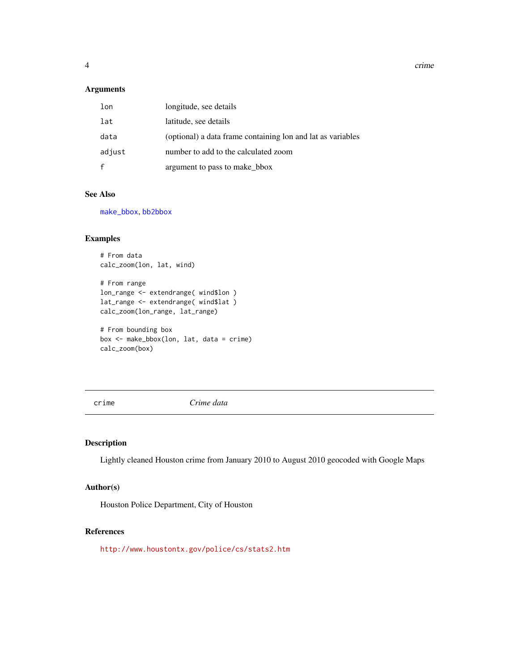<span id="page-3-0"></span>4 crime contract to the contract of the contract of the contract of the contract of the contract of the contract of the contract of the contract of the contract of the contract of the contract of the contract of the contra

## Arguments

| lon          | longitude, see details                                      |
|--------------|-------------------------------------------------------------|
| lat          | latitude, see details                                       |
| data         | (optional) a data frame containing lon and lat as variables |
| adjust       | number to add to the calculated zoom                        |
| $\mathbf{f}$ | argument to pass to make_bbox                               |

## See Also

[make\\_bbox](#page-36-1), [bb2bbox](#page-1-1)

#### Examples

```
# From data
calc_zoom(lon, lat, wind)
# From range
lon_range <- extendrange( wind$lon )
lat_range <- extendrange( wind$lat )
calc_zoom(lon_range, lat_range)
```

```
# From bounding box
box <- make_bbox(lon, lat, data = crime)
calc_zoom(box)
```
crime *Crime data*

## Description

Lightly cleaned Houston crime from January 2010 to August 2010 geocoded with Google Maps

## Author(s)

Houston Police Department, City of Houston

## References

<http://www.houstontx.gov/police/cs/stats2.htm>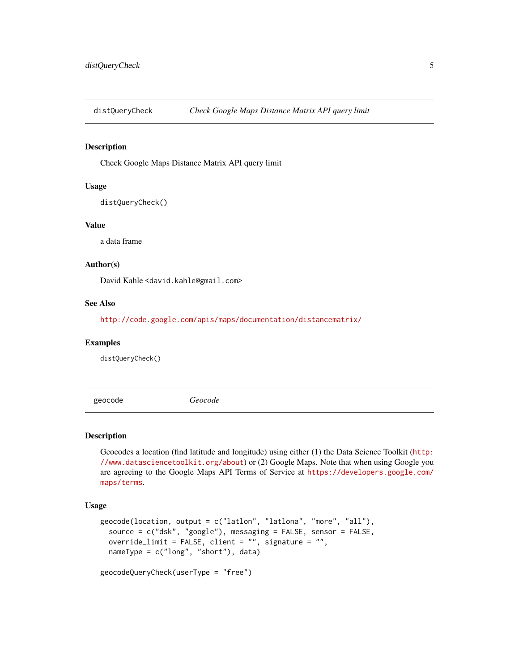<span id="page-4-0"></span>

Check Google Maps Distance Matrix API query limit

## Usage

distQueryCheck()

#### Value

a data frame

## Author(s)

David Kahle<br/><br/>d.kahle@gmail.com>

#### See Also

<http://code.google.com/apis/maps/documentation/distancematrix/>

#### Examples

distQueryCheck()

<span id="page-4-1"></span>geocode *Geocode*

#### Description

Geocodes a location (find latitude and longitude) using either (1) the Data Science Toolkit ([http:](http://www.datasciencetoolkit.org/about) [//www.datasciencetoolkit.org/about](http://www.datasciencetoolkit.org/about)) or (2) Google Maps. Note that when using Google you are agreeing to the Google Maps API Terms of Service at [https://developers.google.com/](https://developers.google.com/maps/terms) [maps/terms](https://developers.google.com/maps/terms).

### Usage

```
geocode(location, output = c("latlon", "latlona", "more", "all"),
  source = c("dsk", "google"), messaging = FALSE, sensor = FALSE,
 override_limit = FALSE, client = "", signature = "",
 nameType = c("long", "short"), data)
```
geocodeQueryCheck(userType = "free")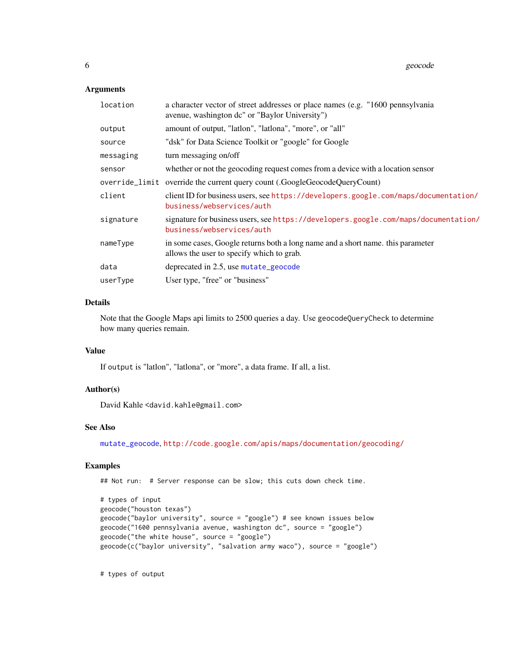#### <span id="page-5-0"></span>Arguments

| location  | a character vector of street addresses or place names (e.g. "1600 pennsylvania")<br>avenue, washington dc" or "Baylor University") |
|-----------|------------------------------------------------------------------------------------------------------------------------------------|
| output    | amount of output, "latlon", "latlona", "more", or "all"                                                                            |
| source    | "dsk" for Data Science Toolkit or "google" for Google                                                                              |
| messaging | turn messaging on/off                                                                                                              |
| sensor    | whether or not the geocoding request comes from a device with a location sensor                                                    |
|           | override_limit override the current query count (.GoogleGeocodeQueryCount)                                                         |
| client    | client ID for business users, see https://developers.google.com/maps/documentation/<br>business/webservices/auth                   |
| signature | signature for business users, see https://developers.google.com/maps/documentation/<br>business/webservices/auth                   |
| nameType  | in some cases, Google returns both a long name and a short name. this parameter<br>allows the user to specify which to grab.       |
| data      | deprecated in 2.5, use mutate_geocode                                                                                              |
| userType  | User type, "free" or "business"                                                                                                    |

## Details

Note that the Google Maps api limits to 2500 queries a day. Use geocodeQueryCheck to determine how many queries remain.

#### Value

If output is "latlon", "latlona", or "more", a data frame. If all, a list.

#### Author(s)

David Kahle<br/><br/>d.kahle@gmail.com>

#### See Also

[mutate\\_geocode](#page-38-1), <http://code.google.com/apis/maps/documentation/geocoding/>

## Examples

## Not run: # Server response can be slow; this cuts down check time.

```
# types of input
geocode("houston texas")
geocode("baylor university", source = "google") # see known issues below
geocode("1600 pennsylvania avenue, washington dc", source = "google")
geocode("the white house", source = "google")
geocode(c("baylor university", "salvation army waco"), source = "google")
```
# types of output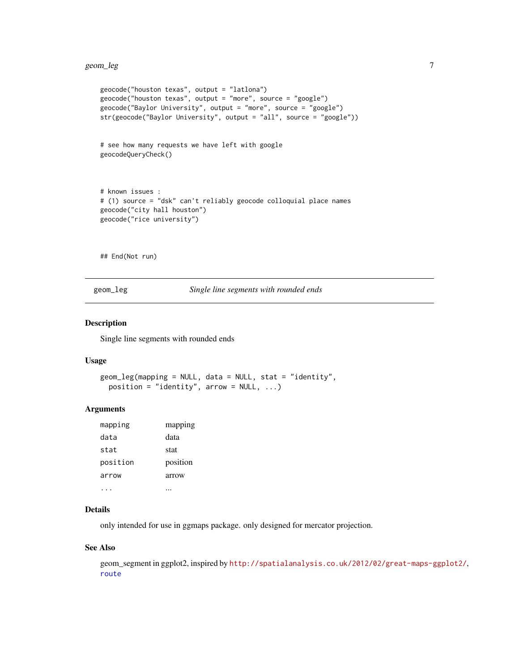```
geocode("houston texas", output = "latlona")
geocode("houston texas", output = "more", source = "google")
geocode("Baylor University", output = "more", source = "google")
str(geocode("Baylor University", output = "all", source = "google"))
# see how many requests we have left with google
geocodeQueryCheck()
# known issues :
# (1) source = "dsk" can't reliably geocode colloquial place names
geocode("city hall houston")
geocode("rice university")
```
## End(Not run)

<span id="page-6-1"></span>geom\_leg *Single line segments with rounded ends*

#### Description

Single line segments with rounded ends

#### Usage

```
geom_leg(mapping = NULL, data = NULL, stat = "identity",
 position = "identity", arrow = NULL, ...)
```
#### Arguments

| mapping  | mapping  |
|----------|----------|
| data     | data     |
| stat     | stat     |
| position | position |
| arrow    | arrow    |
|          |          |

## Details

only intended for use in ggmaps package. only designed for mercator projection.

#### See Also

geom\_segment in ggplot2, inspired by <http://spatialanalysis.co.uk/2012/02/great-maps-ggplot2/>, [route](#page-48-1)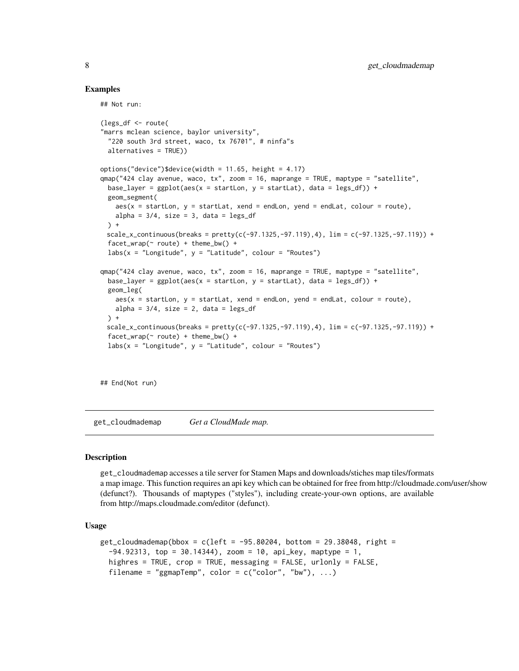#### Examples

```
## Not run:
```

```
(legs_df <- route(
"marrs mclean science, baylor university",
 "220 south 3rd street, waco, tx 76701", # ninfa"s
 alternatives = TRUE))
options("device")$device(width = 11.65, height = 4.17)
qmap("424 clay avenue, waco, tx", zoom = 16, maprange = TRUE, maptype = "satellite",
 base_layer = ggplot(aes(x = startLon, y = startLat), data = legs_df)) +geom_segment(
   aes(x = startLon, y = startLat, xend = endLon, yend = endLat, colour = route),alpha = 3/4, size = 3, data = legs_df) +
 scale_x_{continuous}(breaks = pretty(c(-97.1325, -97.119), 4), lim = c(-97.1325, -97.119)) +factor_{wrap}(\sim route) + theme_{bw() +}labs(x = "Longitude", y = "Latitude", colour = "Routers")qmap("424 clay avenue, waco, tx", zoom = 16, maprange = TRUE, maptype = "satellite",
 base_layer = ggplot(aes(x = startLon, y = startLat), data = legs_d(f) +
 geom_leg(
   aes(x = startLon, y = startLat, xend = endLon, yend = endLat, colour = route),alpha = 3/4, size = 2, data = legs_df) +scale_x_continuous(breaks = pretty(c(-97.1325,-97.119),4), lim = c(-97.1325,-97.119)) +
 factor_{w}route) + theme_bw() +
 labs(x = "Longitude", y = "Latitude", colour = "Routers")
```
## End(Not run)

get\_cloudmademap *Get a CloudMade map.*

#### Description

get\_cloudmademap accesses a tile server for Stamen Maps and downloads/stiches map tiles/formats a map image. This function requires an api key which can be obtained for free from http://cloudmade.com/user/show (defunct?). Thousands of maptypes ("styles"), including create-your-own options, are available from http://maps.cloudmade.com/editor (defunct).

#### Usage

```
get_cloudmademap(bbox = c(left = -95.80204, bottom = 29.38048, right =
  -94.92313, top = 30.14344), zoom = 10, api_key, maptype = 1,
 highres = TRUE, crop = TRUE, messaging = FALSE, urlonly = FALSE,
 filename = "ggmapTemp", color = c("color", "bw"), ...)
```
<span id="page-7-0"></span>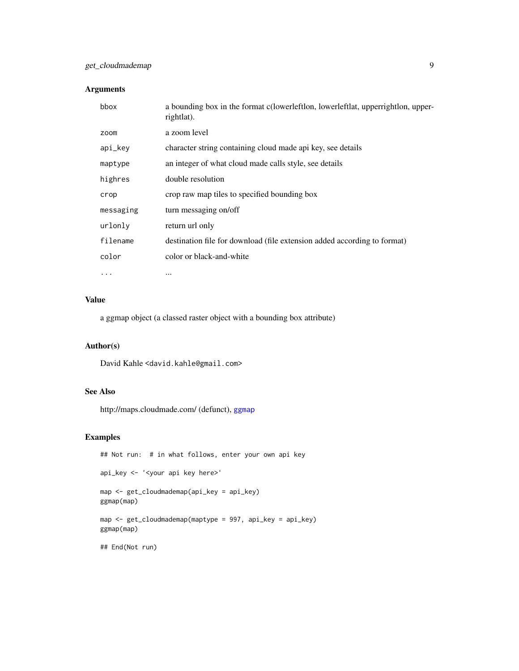## <span id="page-8-0"></span>get\_cloudmademap 9

## Arguments

| bbox      | a bounding box in the format c(lowerleftlon, lowerleftlat, upperrightlon, upper-<br>rightlat). |
|-----------|------------------------------------------------------------------------------------------------|
| zoom      | a zoom level                                                                                   |
| api_key   | character string containing cloud made api key, see details                                    |
| maptype   | an integer of what cloud made calls style, see details                                         |
| highres   | double resolution                                                                              |
| crop      | crop raw map tiles to specified bounding box                                                   |
| messaging | turn messaging on/off                                                                          |
| urlonly   | return url only                                                                                |
| filename  | destination file for download (file extension added according to format)                       |
| color     | color or black-and-white                                                                       |
| $\cdots$  | $\cdots$                                                                                       |

#### Value

a ggmap object (a classed raster object with a bounding box attribute)

## Author(s)

David Kahle<br/><david.kahle@gmail.com>

## See Also

http://maps.cloudmade.com/ (defunct), [ggmap](#page-22-1)

```
## Not run: # in what follows, enter your own api key
api_key <- '<your api key here>'
map <- get_cloudmademap(api_key = api_key)
ggmap(map)
map <- get_cloudmademap(maptype = 997, api_key = api_key)
ggmap(map)
## End(Not run)
```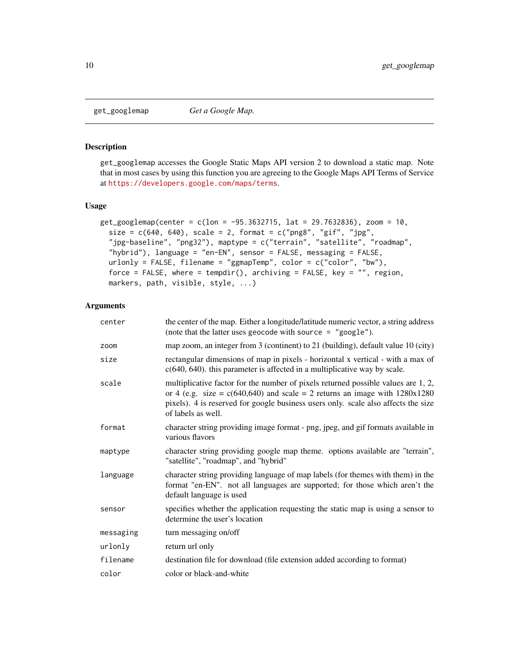<span id="page-9-1"></span><span id="page-9-0"></span>

get\_googlemap accesses the Google Static Maps API version 2 to download a static map. Note that in most cases by using this function you are agreeing to the Google Maps API Terms of Service at <https://developers.google.com/maps/terms>.

#### Usage

```
get_googlemap(center = c(lon = -95.3632715, lat = 29.7632836), zoom = 10,
  size = c(640, 640), scale = 2, format = c("png8", "gif", "jpg","jpg-baseline", "png32"), maptype = c("terrain", "satellite", "roadmap",
  "hybrid"), language = "en-EN", sensor = FALSE, messaging = FALSE,
  urlonly = FALSE, filename = "ggmapTemp", color = c("color", "bw"),
  force = FALSE, where = tempdir(), archiving = FALSE, key = ", region,
  markers, path, visible, style, ...)
```
#### Arguments

| center    | the center of the map. Either a longitude/latitude numeric vector, a string address<br>(note that the latter uses geocode with source $=$ "google").                                                                                                                            |
|-----------|---------------------------------------------------------------------------------------------------------------------------------------------------------------------------------------------------------------------------------------------------------------------------------|
| zoom      | map zoom, an integer from 3 (continent) to 21 (building), default value 10 (city)                                                                                                                                                                                               |
| size      | rectangular dimensions of map in pixels - horizontal x vertical - with a max of<br>$c(640, 640)$ . this parameter is affected in a multiplicative way by scale.                                                                                                                 |
| scale     | multiplicative factor for the number of pixels returned possible values are 1, 2,<br>or 4 (e.g. size = $c(640,640)$ and scale = 2 returns an image with $1280x1280$<br>pixels). 4 is reserved for google business users only. scale also affects the size<br>of labels as well. |
| format    | character string providing image format - png, jpeg, and gif formats available in<br>various flavors                                                                                                                                                                            |
| maptype   | character string providing google map theme. options available are "terrain",<br>"satellite", "roadmap", and "hybrid"                                                                                                                                                           |
| language  | character string providing language of map labels (for themes with them) in the<br>format "en-EN". not all languages are supported; for those which aren't the<br>default language is used                                                                                      |
| sensor    | specifies whether the application requesting the static map is using a sensor to<br>determine the user's location                                                                                                                                                               |
| messaging | turn messaging on/off                                                                                                                                                                                                                                                           |
| urlonly   | return url only                                                                                                                                                                                                                                                                 |
| filename  | destination file for download (file extension added according to format)                                                                                                                                                                                                        |
| color     | color or black-and-white                                                                                                                                                                                                                                                        |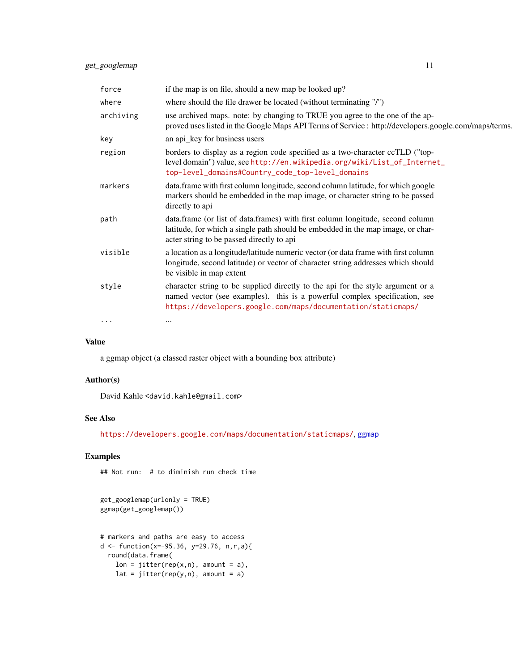<span id="page-10-0"></span>

| force     | if the map is on file, should a new map be looked up?                                                                                                                                                                         |
|-----------|-------------------------------------------------------------------------------------------------------------------------------------------------------------------------------------------------------------------------------|
| where     | where should the file drawer be located (without terminating "/")                                                                                                                                                             |
| archiving | use archived maps. note: by changing to TRUE you agree to the one of the ap-<br>proved uses listed in the Google Maps API Terms of Service : http://developers.google.com/maps/terms.                                         |
| key       | an api_key for business users                                                                                                                                                                                                 |
| region    | borders to display as a region code specified as a two-character ccTLD ("top-<br>level domain") value, see http://en.wikipedia.org/wiki/List_of_Internet_<br>top-level_domains#Country_code_top-level_domains                 |
| markers   | data.frame with first column longitude, second column latitude, for which google<br>markers should be embedded in the map image, or character string to be passed<br>directly to api                                          |
| path      | data.frame (or list of data.frames) with first column longitude, second column<br>latitude, for which a single path should be embedded in the map image, or char-<br>acter string to be passed directly to api                |
| visible   | a location as a longitude/latitude numeric vector (or data frame with first column<br>longitude, second latitude) or vector of character string addresses which should<br>be visible in map extent                            |
| style     | character string to be supplied directly to the api for the style argument or a<br>named vector (see examples). this is a powerful complex specification, see<br>https://developers.google.com/maps/documentation/staticmaps/ |
| $\cdots$  | $\cdots$                                                                                                                                                                                                                      |

## Value

a ggmap object (a classed raster object with a bounding box attribute)

## Author(s)

David Kahle<br/><br/>d.kahle@gmail.com>

## See Also

<https://developers.google.com/maps/documentation/staticmaps/>, [ggmap](#page-22-1)

## Examples

## Not run: # to diminish run check time

get\_googlemap(urlonly = TRUE) ggmap(get\_googlemap())

```
# markers and paths are easy to access
d <- function(x=-95.36, y=29.76, n,r,a){
 round(data.frame(
   lon = jitter(rep(x,n), amount = a),lat = jitter(rep(y, n), amount = a)
```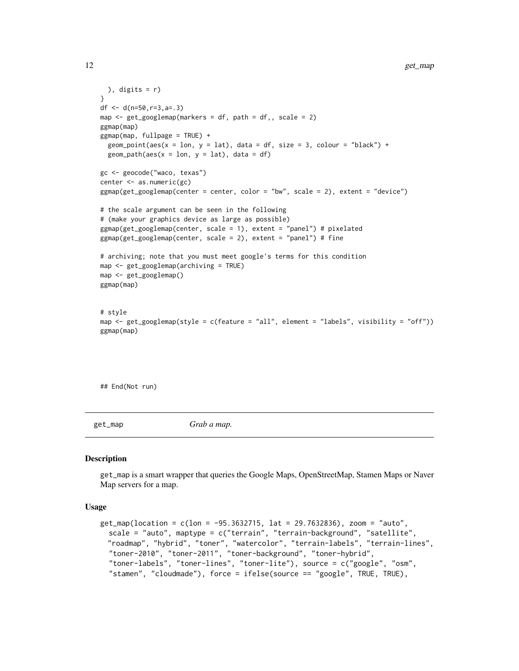```
), digits = r)
}
df <- d(n=50,r=3,a=.3)
map \leq get_googlemap(markers = df, path = df,, scale = 2)
ggmap(map)
ggmap(map, fullpage = TRUE) +geom_point(aes(x = lon, y = lat), data = df, size = 3, colour = "black") +
  geom\_path(aes(x = lon, y = lat), data = df)gc <- geocode("waco, texas")
center <- as.numeric(gc)
ggmap(get_googlemap(center = center, color = "bw", scale = 2), extent = "device")
# the scale argument can be seen in the following
# (make your graphics device as large as possible)
ggmap(get_googlemap(center, scale = 1), extent = "panel") # pixelated
ggmap(get_googlemap(center, scale = 2), extent = "panel") # fine
# archiving; note that you must meet google's terms for this condition
map <- get_googlemap(archiving = TRUE)
map <- get_googlemap()
ggmap(map)
# style
map <- get_googlemap(style = c(feature = "all", element = "labels", visibility = "off"))
ggmap(map)
```
## End(Not run)

get\_map *Grab a map.*

#### Description

get\_map is a smart wrapper that queries the Google Maps, OpenStreetMap, Stamen Maps or Naver Map servers for a map.

#### Usage

```
get_map(location = c(lon = -95.3632715, lat = 29.7632836), zoom = "auto",
  scale = "auto", maptype = c("terrain", "terrain-background", "satellite",
 "roadmap", "hybrid", "toner", "watercolor", "terrain-labels", "terrain-lines",
  "toner-2010", "toner-2011", "toner-background", "toner-hybrid",
  "toner-labels", "toner-lines", "toner-lite"), source = c("google", "osm",
  "stamen", "cloudmade"), force = ifelse(source == "google", TRUE, TRUE),
```
<span id="page-11-0"></span>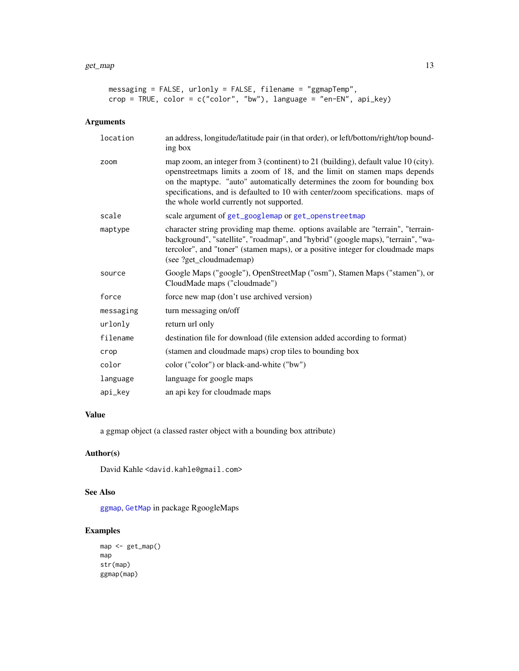```
messaging = FALSE, urlonly = FALSE, filename = "ggmapTemp",
crop = TRUE, color = c("color", "bw"), language = "en-EN", api_key)
```
## Arguments

| location  | an address, longitude/latitude pair (in that order), or left/bottom/right/top bound-<br>ing box                                                                                                                                                                                                                                                                            |
|-----------|----------------------------------------------------------------------------------------------------------------------------------------------------------------------------------------------------------------------------------------------------------------------------------------------------------------------------------------------------------------------------|
| zoom      | map zoom, an integer from 3 (continent) to 21 (building), default value 10 (city).<br>openstreetmaps limits a zoom of 18, and the limit on stamen maps depends<br>on the maptype. "auto" automatically determines the zoom for bounding box<br>specifications, and is defaulted to 10 with center/zoom specifications. maps of<br>the whole world currently not supported. |
| scale     | scale argument of get_googlemap or get_openstreetmap                                                                                                                                                                                                                                                                                                                       |
| maptype   | character string providing map theme. options available are "terrain", "terrain-<br>background", "satellite", "roadmap", and "hybrid" (google maps), "terrain", "wa-<br>tercolor", and "toner" (stamen maps), or a positive integer for cloudmade maps<br>(see ?get_cloudmademap)                                                                                          |
| source    | Google Maps ("google"), OpenStreetMap ("osm"), Stamen Maps ("stamen"), or<br>CloudMade maps ("cloudmade")                                                                                                                                                                                                                                                                  |
| force     | force new map (don't use archived version)                                                                                                                                                                                                                                                                                                                                 |
| messaging | turn messaging on/off                                                                                                                                                                                                                                                                                                                                                      |
| urlonly   | return url only                                                                                                                                                                                                                                                                                                                                                            |
| filename  | destination file for download (file extension added according to format)                                                                                                                                                                                                                                                                                                   |
| crop      | (stamen and cloudmade maps) crop tiles to bounding box                                                                                                                                                                                                                                                                                                                     |
| color     | color ("color") or black-and-white ("bw")                                                                                                                                                                                                                                                                                                                                  |
| language  | language for google maps                                                                                                                                                                                                                                                                                                                                                   |
| api_key   | an api key for cloudmade maps                                                                                                                                                                                                                                                                                                                                              |

## Value

a ggmap object (a classed raster object with a bounding box attribute)

## Author(s)

David Kahle<br/><br/>d.kahle@gmail.com>

## See Also

[ggmap](#page-22-1), [GetMap](#page-0-0) in package RgoogleMaps

```
map <- get_map()
map
str(map)
ggmap(map)
```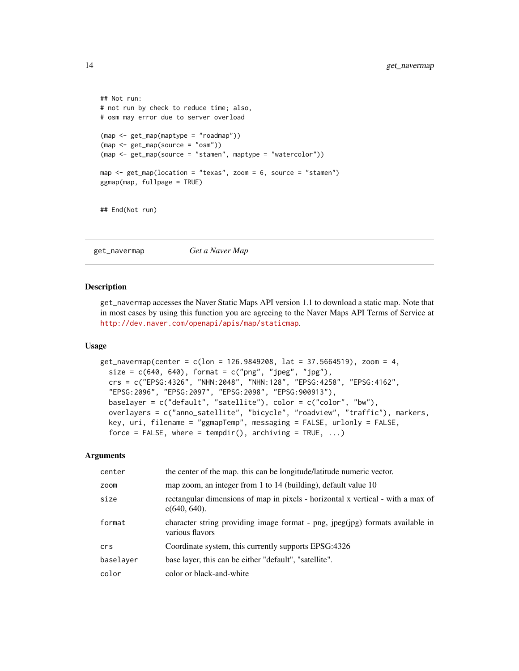```
## Not run:
# not run by check to reduce time; also,
# osm may error due to server overload
(map <- get_map(maptype = "roadmap"))
(map <- get_map(source = "osm"))
(map <- get_map(source = "stamen", maptype = "watercolor"))
map \leq get_map(location = "texas", zoom = 6, source = "stamen")
ggmap(map, fullpage = TRUE)
## End(Not run)
```
get\_navermap *Get a Naver Map*

#### Description

get\_navermap accesses the Naver Static Maps API version 1.1 to download a static map. Note that in most cases by using this function you are agreeing to the Naver Maps API Terms of Service at <http://dev.naver.com/openapi/apis/map/staticmap>.

#### Usage

```
get_navermap(center = c(lon = 126.9849208, lat = 37.5664519), zoom = 4,
  size = c(640, 640), format = c("png", "jpeg", "jpg"),crs = c("EPSG:4326", "NHN:2048", "NHN:128", "EPSG:4258", "EPSG:4162",
  "EPSG:2096", "EPSG:2097", "EPSG:2098", "EPSG:900913"),
  baselayer = c("default", "satellite"), color = c("color", "bw"),
  overlayers = c("anno_satellite", "bicycle", "roadview", "traffic"), markers,
  key, uri, filename = "ggmapTemp", messaging = FALSE, urlonly = FALSE,
  force = FALSE, where = tempdir(), archiving = TRUE, \ldots)
```
#### **Arguments**

| center    | the center of the map. this can be longitude/latitude numeric vector.                              |
|-----------|----------------------------------------------------------------------------------------------------|
| zoom      | map zoom, an integer from 1 to 14 (building), default value 10                                     |
| size      | rectangular dimensions of map in pixels - horizontal x vertical - with a max of<br>$c(640, 640)$ . |
| format    | character string providing image format - png, jpeg(jpg) formats available in<br>various flavors   |
| crs       | Coordinate system, this currently supports EPSG:4326                                               |
| baselayer | base layer, this can be either "default", "satellite".                                             |
| color     | color or black-and-white                                                                           |

<span id="page-13-0"></span>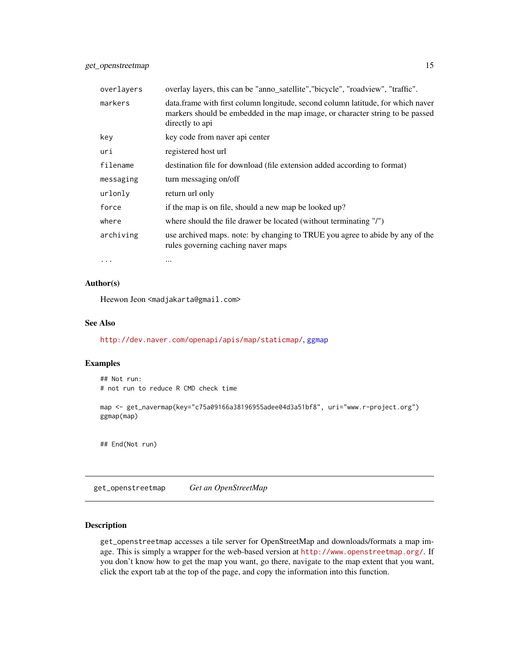<span id="page-14-0"></span>

| overlayers | overlay layers, this can be "anno_satellite", "bicycle", "roadview", "traffic".                                                                                                      |
|------------|--------------------------------------------------------------------------------------------------------------------------------------------------------------------------------------|
| markers    | data. frame with first column longitude, second column latitude, for which naver<br>markers should be embedded in the map image, or character string to be passed<br>directly to api |
| key        | key code from naver api center                                                                                                                                                       |
| uri        | registered host url                                                                                                                                                                  |
| filename   | destination file for download (file extension added according to format)                                                                                                             |
| messaging  | turn messaging on/off                                                                                                                                                                |
| urlonly    | return url only                                                                                                                                                                      |
| force      | if the map is on file, should a new map be looked up?                                                                                                                                |
| where      | where should the file drawer be located (without terminating "/")                                                                                                                    |
| archiving  | use archived maps. note: by changing to TRUE you agree to abide by any of the<br>rules governing caching naver maps                                                                  |
|            |                                                                                                                                                                                      |

Author(s)

Heewon Jeon <madjakarta@gmail.com>

#### See Also

<http://dev.naver.com/openapi/apis/map/staticmap/>, [ggmap](#page-22-1)

## Examples

```
## Not run:
# not run to reduce R CMD check time
map <- get_navermap(key="c75a09166a38196955adee04d3a51bf8", uri="www.r-project.org")
ggmap(map)
```
## End(Not run)

<span id="page-14-1"></span>get\_openstreetmap *Get an OpenStreetMap*

#### Description

get\_openstreetmap accesses a tile server for OpenStreetMap and downloads/formats a map image. This is simply a wrapper for the web-based version at <http://www.openstreetmap.org/>. If you don't know how to get the map you want, go there, navigate to the map extent that you want, click the export tab at the top of the page, and copy the information into this function.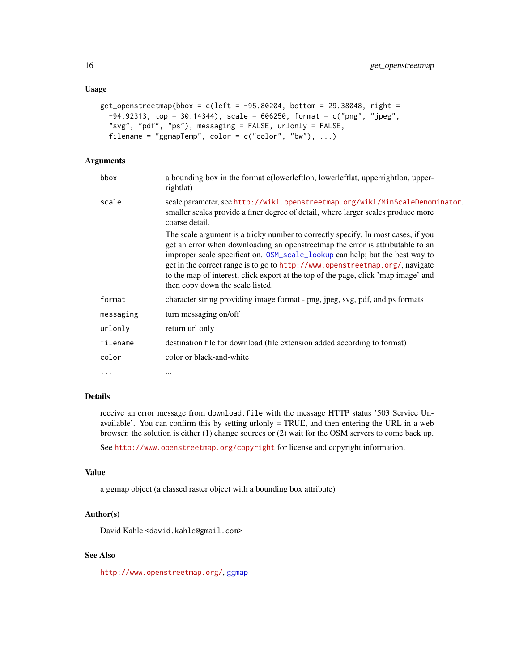## <span id="page-15-0"></span>Usage

```
get_openstreetmap(bbox = c(left = -95.80204, bottom = 29.38048, right =-94.92313, top = 30.14344), scale = 606250, format = c("png", "jpeg",
  "svg", "pdf", "ps"), messaging = FALSE, urlonly = FALSE,
  filename = "ggmapTemp", color = c("color", "bw"), ...)
```
#### Arguments

| bbox      | a bounding box in the format c(lowerleftlon, lowerleftlat, upper-<br>rightlat)                                                                                                                                                                                                                                                                                                                                                                                |
|-----------|---------------------------------------------------------------------------------------------------------------------------------------------------------------------------------------------------------------------------------------------------------------------------------------------------------------------------------------------------------------------------------------------------------------------------------------------------------------|
| scale     | scale parameter, see http://wiki.openstreetmap.org/wiki/MinScaleDenominator.<br>smaller scales provide a finer degree of detail, where larger scales produce more<br>coarse detail.                                                                                                                                                                                                                                                                           |
|           | The scale argument is a tricky number to correctly specify. In most cases, if you<br>get an error when downloading an openstreetmap the error is attributable to an<br>improper scale specification. OSM_scale_lookup can help; but the best way to<br>get in the correct range is to go to http://www.openstreetmap.org/, navigate<br>to the map of interest, click export at the top of the page, click 'map image' and<br>then copy down the scale listed. |
| format    | character string providing image format - png, jpeg, svg, pdf, and ps formats                                                                                                                                                                                                                                                                                                                                                                                 |
| messaging | turn messaging on/off                                                                                                                                                                                                                                                                                                                                                                                                                                         |
| urlonly   | return url only                                                                                                                                                                                                                                                                                                                                                                                                                                               |
| filename  | destination file for download (file extension added according to format)                                                                                                                                                                                                                                                                                                                                                                                      |
| color     | color or black-and-white                                                                                                                                                                                                                                                                                                                                                                                                                                      |
| $\cdots$  | $\cdots$                                                                                                                                                                                                                                                                                                                                                                                                                                                      |

## Details

receive an error message from download.file with the message HTTP status '503 Service Unavailable'. You can confirm this by setting urlonly = TRUE, and then entering the URL in a web browser. the solution is either (1) change sources or (2) wait for the OSM servers to come back up.

See <http://www.openstreetmap.org/copyright> for license and copyright information.

#### Value

a ggmap object (a classed raster object with a bounding box attribute)

#### Author(s)

David Kahle <david.kahle@gmail.com>

## See Also

<http://www.openstreetmap.org/>, [ggmap](#page-22-1)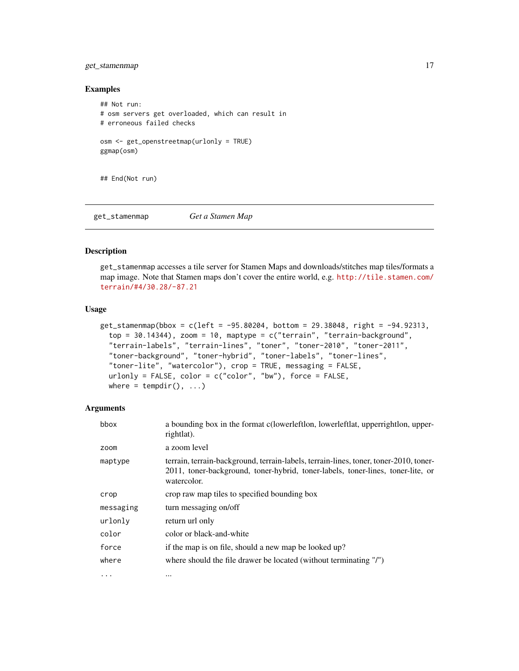## <span id="page-16-0"></span>get\_stamenmap 17

#### Examples

```
## Not run:
# osm servers get overloaded, which can result in
# erroneous failed checks
osm <- get_openstreetmap(urlonly = TRUE)
ggmap(osm)
```
## End(Not run)

get\_stamenmap *Get a Stamen Map*

## Description

get\_stamenmap accesses a tile server for Stamen Maps and downloads/stitches map tiles/formats a map image. Note that Stamen maps don't cover the entire world, e.g. [http://tile.stamen.com/](http://tile.stamen.com/terrain/#4/30.28/-87.21) [terrain/#4/30.28/-87.21](http://tile.stamen.com/terrain/#4/30.28/-87.21)

#### Usage

```
get_stamenmap(bbox = c(left = -95.80204, bottom = 29.38048, right = -94.92313,
  top = 30.14344, zoom = 10, maptype = c("ternain", "ternain-background","terrain-labels", "terrain-lines", "toner", "toner-2010", "toner-2011",
  "toner-background", "toner-hybrid", "toner-labels", "toner-lines",
  "toner-lite", "watercolor"), crop = TRUE, messaging = FALSE,
  urlonly = FALSE, color = c("color", "bw"), force = FALSE,where = tempdir(), \dots)
```
#### Arguments

| bbox      | a bounding box in the format c(lowerleftlon, lowerleftlat, upperrightlon, upper-<br>rightlat).                                                                                          |
|-----------|-----------------------------------------------------------------------------------------------------------------------------------------------------------------------------------------|
| zoom      | a zoom level                                                                                                                                                                            |
| maptype   | terrain, terrain-background, terrain-labels, terrain-lines, toner, toner-2010, toner-<br>2011, toner-background, toner-hybrid, toner-labels, toner-lines, toner-lite, or<br>watercolor. |
| crop      | crop raw map tiles to specified bounding box                                                                                                                                            |
| messaging | turn messaging on/off                                                                                                                                                                   |
| urlonly   | return url only                                                                                                                                                                         |
| color     | color or black-and-white                                                                                                                                                                |
| force     | if the map is on file, should a new map be looked up?                                                                                                                                   |
| where     | where should the file drawer be located (without terminating "/")                                                                                                                       |
| $\ddotsc$ | $\cdots$                                                                                                                                                                                |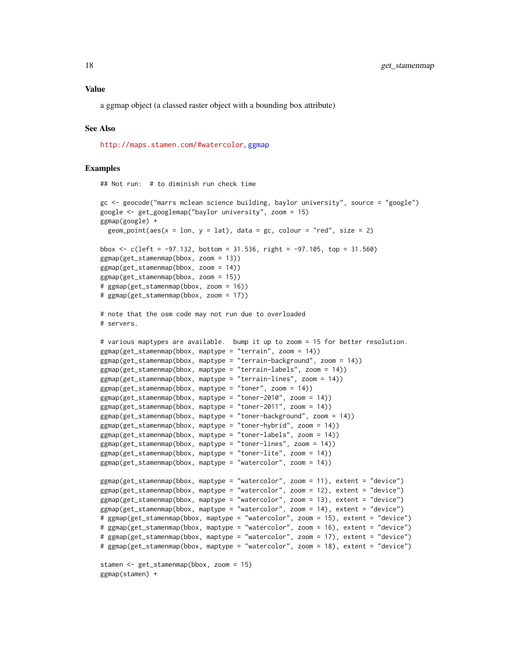#### <span id="page-17-0"></span>Value

a ggmap object (a classed raster object with a bounding box attribute)

#### See Also

<http://maps.stamen.com/#watercolor>, [ggmap](#page-22-1)

#### Examples

## Not run: # to diminish run check time

```
gc <- geocode("marrs mclean science building, baylor university", source = "google")
google <- get_googlemap("baylor university", zoom = 15)
ggmap(google) +
 geom_point(aes(x = 1on, y = 1at), data = gc, colour = "red", size = 2)
bbox \leq c(left = -97.132, bottom = 31.536, right = -97.105, top = 31.560)
ggmap(get_stamenmap(bbox, zoom = 13))
ggmap(get_stamenmap(bbox, zoom = 14))
ggmap(get_stamenmap(bbox, zoom = 15))
# ggmap(get_stamenmap(bbox, zoom = 16))
# ggmap(get_stamenmap(bbox, zoom = 17))
# note that the osm code may not run due to overloaded
# servers.
# various maptypes are available. bump it up to zoom = 15 for better resolution.
g\text{gmap}(\text{get}\_\text{stamenmap}(\text{bbox}, \text{maptype} = \text{"terrain", zoom} = 14))ggmap(get_stamenmap(bbox, maptype = "terrain-background", zoom = 14))
ggmap(get_stamenmap(bbox, maptype = "terrain-labels", zoom = 14))
ggmap(get_stamenmap(bbox, maptype = "terrain-lines", zoom = 14))
ggmap(get_stamenmap(bbox, maptype = "toner", zoom = 14))
ggmap(get_stamenmap(bbox, maptype = "toner-2010", zoom = 14))
ggmap(get_stamenmap(bbox, maptype = "toner-2011", zoom = 14))
ggmap(get_stamenmap(bbox, maptype = "toner-background", zoom = 14))
ggmap(get_stamenmap(bbox, maptype = "toner-hybrid", zoom = 14))
ggmap(get_stamenmap(bbox, maptype = "toner-labels", zoom = 14))
ggmap(get_stamenmap(bbox, maptype = "toner-lines", zoom = 14))
ggmap(get_stamenmap(bbox, maptype = "toner-lite", zoom = 14))
ggmap(get_stamenmap(bbox, maptype = "watercolor", zoom = 14))
ggmap(get_stamenmap(bbox, maptype = "watercolor", zoom = 11), extent = "device")
ggmap(get_stamenmap(bbox, maptype = "watercolor", zoom = 12), extent = "device")
ggmap(get_stamenmap(bbox, maptype = "watercolor", zoom = 13), extent = "device")
ggmap(get_stamenmap(bbox, maptype = "watercolor", zoom = 14), extent = "device")
# ggmap(get_stamenmap(bbox, maptype = "watercolor", zoom = 15), extent = "device")
# ggmap(get_stamenmap(bbox, maptype = "watercolor", zoom = 16), extent = "device")
# ggmap(get_stamenmap(bbox, maptype = "watercolor", zoom = 17), extent = "device")
# ggmap(get_stamenmap(bbox, maptype = "watercolor", zoom = 18), extent = "device")
stamen <- get_stamenmap(bbox, zoom = 15)
ggmap(stamen) +
```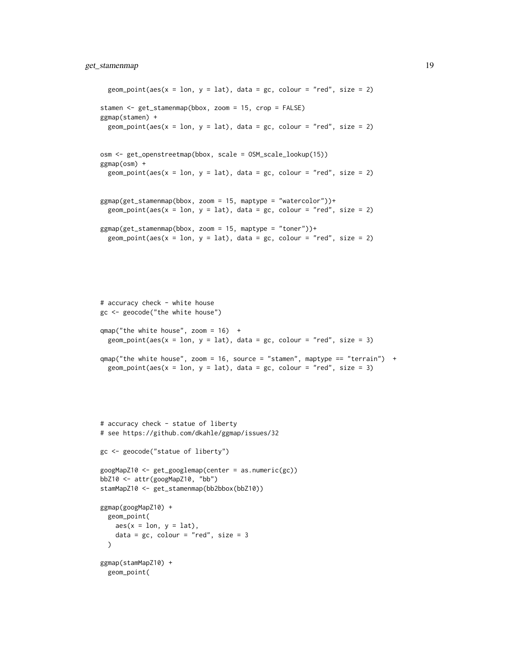```
geom_point(aes(x = \text{lon}, y = \text{lat}), data = gc, colour = "red", size = 2)
stamen <- get_stamenmap(bbox, zoom = 15, crop = FALSE)
ggmap(stamen) +
 geom_point(aes(x = 1on, y = 1at), data = gc, colour = "red", size = 2)
osm <- get_openstreetmap(bbox, scale = OSM_scale_lookup(15))
ggmap(osm) +
 geom_point(aes(x = \text{lon}, y = \text{lat}), data = gc, colour = "red", size = 2)
ggmap(get_stamenmap(bbox, zoom = 15, maptype = "watercolor"))+
 geom_point(aes(x = 1on, y = 1at), data = gc, colour = "red", size = 2)
ggmap(get_stamenmap(bbox, zoom = 15, maptype = "toner"))+
 geom_point(aes(x = 1on, y = 1at), data = gc, colour = "red", size = 2)
```

```
# accuracy check - white house
gc <- geocode("the white house")
qmap('the white house'', zoom = 16) +geom_point(aes(x = \text{lon}, y = \text{lat}), data = gc, colour = "red", size = 3)
qmap("the white house", zoom = 16, source = "stamen", maptype == "terrain") +
```

```
geom_point(aes(x = 1on, y = 1at), data = gc, colour = "red", size = 3)
```

```
# accuracy check - statue of liberty
# see https://github.com/dkahle/ggmap/issues/32
gc <- geocode("statue of liberty")
googMapZ10 <- get_googlemap(center = as.numeric(gc))
bbZ10 <- attr(googMapZ10, "bb")
stamMapZ10 <- get_stamenmap(bb2bbox(bbZ10))
ggmap(googMapZ10) +
  geom_point(
   aes(x = lon, y = lat),
    data = gc, colour = "red", size = 3\lambdaggmap(stamMapZ10) +
  geom_point(
```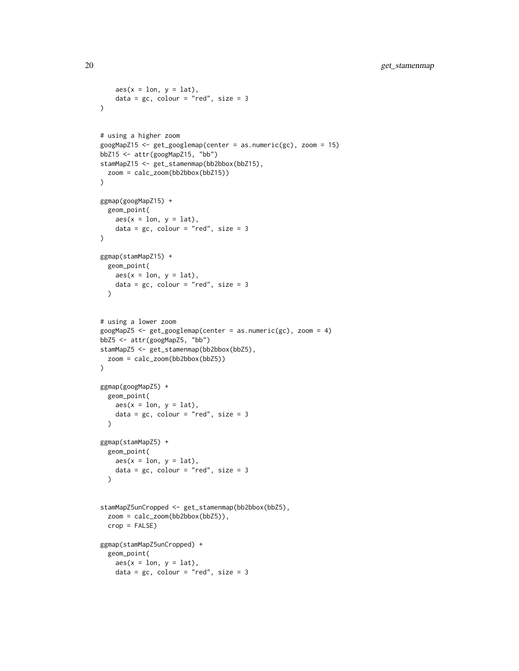```
aes(x = lon, y = lat),
   data = gc, colour = "red", size = 3)
# using a higher zoom
googMapZ15 <- get_googlemap(center = as.numeric(gc), zoom = 15)
bbZ15 <- attr(googMapZ15, "bb")
stamMapZ15 <- get_stamenmap(bb2bbox(bbZ15),
 zoom = calc_zoom(bb2bbox(bbZ15))
)
ggmap(googMapZ15) +
  geom_point(
   aes(x = lon, y = lat),
   data = gc, colour = "red", size = 3\lambdaggmap(stamMapZ15) +
  geom_point(
   aes(x = lon, y = lat),data = gc, colour = "red", size = 3\lambda# using a lower zoom
googMapZ5 \leq get_googlemap(center = as.numeric(gc), zoom = 4)
bbZ5 <- attr(googMapZ5, "bb")
stamMapZ5 <- get_stamenmap(bb2bbox(bbZ5),
 zoom = calc_zoom(bb2bbox(bbZ5))
)
ggmap(googMapZ5) +
  geom_point(
   aes(x = lon, y = lat),
   data = gc, colour = "red", size = 3
  \lambdaggmap(stamMapZ5) +
  geom_point(
   aes(x = lon, y = lat),
   data = gc, colour = "red", size = 3)
stamMapZ5unCropped <- get_stamenmap(bb2bbox(bbZ5),
  zoom = calc_zoom(bb2bbox(bbZ5)),
  crop = FALSE)
ggmap(stamMapZ5unCropped) +
  geom_point(
   aes(x = lon, y = lat),
   data = gc, colour = "red", size = 3
```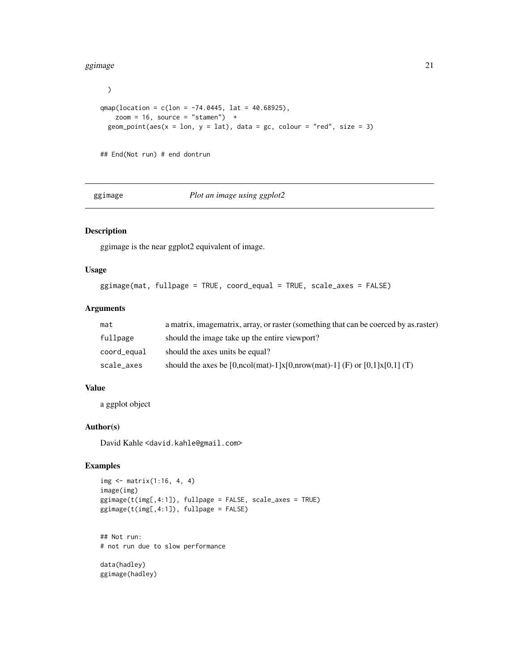#### <span id="page-20-0"></span>ggimage 21 and 22 and 22 and 22 and 22 and 22 and 22 and 22 and 22 and 22 and 22 and 22 and 22 and 22 and 22 and 22 and 22 and 22 and 22 and 22 and 22 and 22 and 22 and 22 and 22 and 22 and 22 and 22 and 22 and 22 and 22 a

```
)
qmap(location = c(lon = -74.0445, lat = 40.68925),
   zoom = 16, source = "stamen") +
 geom_point(aes(x = 1on, y = 1at), data = gc, colour = "red", size = 3)
## End(Not run) # end dontrun
```
ggimage *Plot an image using ggplot2*

## Description

ggimage is the near ggplot2 equivalent of image.

## Usage

```
ggimage(mat, fullpage = TRUE, coord_equal = TRUE, scale_axes = FALSE)
```
## Arguments

| mat         | a matrix, imagematrix, array, or raster (something that can be coerced by as raster) |
|-------------|--------------------------------------------------------------------------------------|
| fullpage    | should the image take up the entire viewport?                                        |
| coord_equal | should the axes units be equal?                                                      |
| scale_axes  | should the axes be [0,ncol(mat)-1]x[0,nrow(mat)-1] (F) or [0,1]x[0,1] (T)            |

## Value

a ggplot object

#### Author(s)

David Kahle <david.kahle@gmail.com>

## Examples

```
img <- matrix(1:16, 4, 4)
image(img)
ggimage(t(img[,4:1]), fullpage = FALSE, scale_axes = TRUE)
ggimage(t(img[,4:1]), fullpage = FALSE)
```
## Not run: # not run due to slow performance

data(hadley) ggimage(hadley)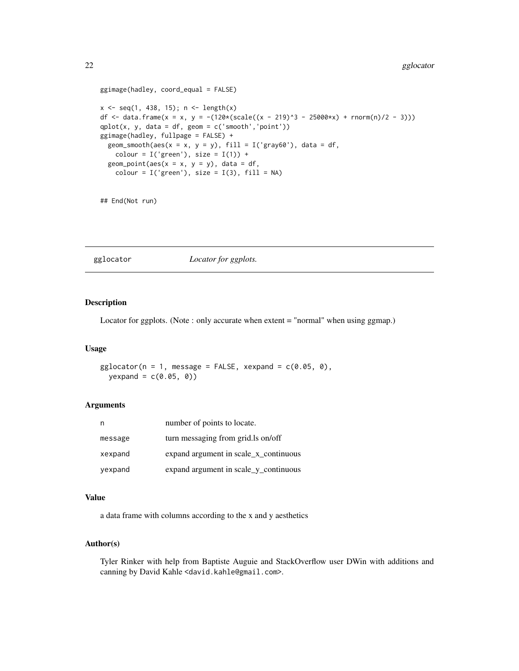#### <span id="page-21-0"></span>22 gglocator and the state of the state of the state of the state of the state of the state of the state of the state of the state of the state of the state of the state of the state of the state of the state of the state

```
ggimage(hadley, coord_equal = FALSE)
x \leq -\text{seq}(1, 438, 15); n \leq -\text{length}(x)df <- data.frame(x = x, y = -(120*(scale((x - 219)^3 - 25000*x) + rnorm(n)/2 - 3)))
qplot(x, y, data = df, geom = c('smooth', 'point'))ggimage(hadley, fullpage = FALSE) +
  geom_smooth(aes(x = x, y = y), fill = I('gray60'), data = df,
    colour = I('green'), size = I(1)) +geom\_point(aes(x = x, y = y), data = df,colour = I('green'), size = I(3), fill = NA)
```
## End(Not run)

gglocator *Locator for ggplots.*

## Description

Locator for ggplots. (Note : only accurate when extent = "normal" when using ggmap.)

#### Usage

 $gglocator(n = 1, message = FALSE, xexpand = c(0.05, 0),$  $yexpand = c(0.05, 0)$ 

#### Arguments

|         | number of points to locate.           |
|---------|---------------------------------------|
| message | turn messaging from grid. Is on/off   |
| xexpand | expand argument in scale_x_continuous |
| yexpand | expand argument in scale_y_continuous |

## Value

a data frame with columns according to the x and y aesthetics

## Author(s)

Tyler Rinker with help from Baptiste Auguie and StackOverflow user DWin with additions and canning by David Kahle <david.kahle@gmail.com>.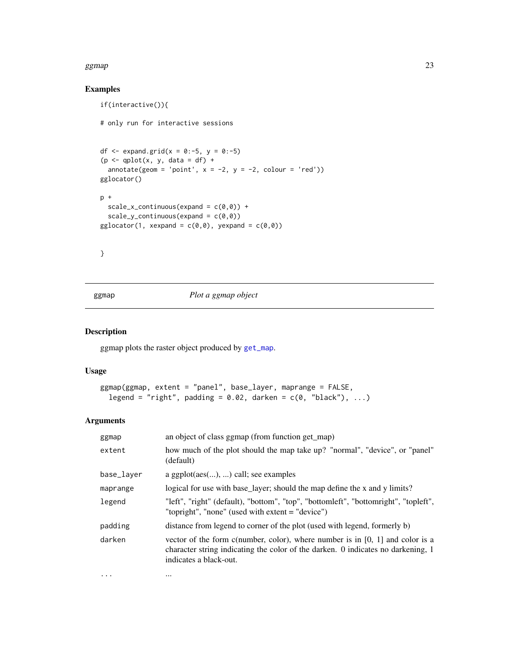## <span id="page-22-0"></span>Examples

```
if(interactive()){
# only run for interactive sessions
df \leq expand.grid(x = 0:-5, y = 0:-5)
(p \leq -\text{qplot}(x, y, \text{data} = df) +annotate(geom = 'point', x = -2, y = -2, colour = 'red'))
gglocator()
p +
  scale_x_{continuous}(expand = c(\emptyset, \emptyset)) +
  scale_y_{continuous(expand = c(0, 0))gglocator(1, xexpand = c(0,0), yexpand = c(0,0))
```
}

<span id="page-22-1"></span>ggmap *Plot a ggmap object*

## Description

ggmap plots the raster object produced by [get\\_map](#page-11-1).

#### Usage

```
ggmap(ggmap, extent = "panel", base_layer, maprange = FALSE,
 legend = "right", padding = 0.02, darken = c(0, "black"), ...)
```
#### Arguments

| ggmap      | an object of class ggmap (from function get_map)                                                                                                                                              |
|------------|-----------------------------------------------------------------------------------------------------------------------------------------------------------------------------------------------|
| extent     | how much of the plot should the map take up? "normal", "device", or "panel"<br>(default)                                                                                                      |
| base_layer | a ggplot $(aes(),)$ call; see examples                                                                                                                                                        |
| maprange   | logical for use with base_layer; should the map define the x and y limits?                                                                                                                    |
| legend     | "left", "right" (default), "bottom", "top", "bottomleft", "bottomright", "topleft",<br>"topright", "none" (used with extent = "device")                                                       |
| padding    | distance from legend to corner of the plot (used with legend, formerly b)                                                                                                                     |
| darken     | vector of the form c(number, color), where number is in $[0, 1]$ and color is a<br>character string indicating the color of the darken. 0 indicates no darkening, 1<br>indicates a black-out. |

... ...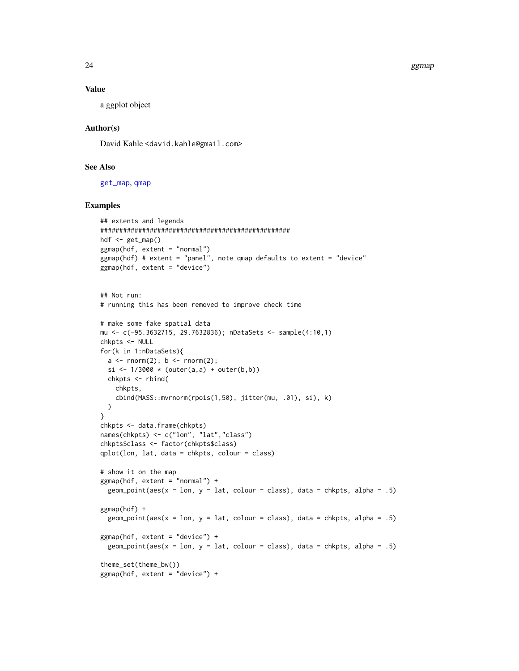24 ggmap and the set of the set of the set of the set of the set of the set of the set of the set of the set of the set of the set of the set of the set of the set of the set of the set of the set of the set of the set of

#### Value

a ggplot object

## Author(s)

David Kahle <david.kahle@gmail.com>

## See Also

[get\\_map](#page-11-1), [qmap](#page-41-1)

```
## extents and legends
##################################################
hdf <- get_map()
ggmap(hdf, extent = "normal")
ggmap(hdf) # extent = "panel", note qmap defaults to extent = "device"
ggmap(hdf, extent = "device")
## Not run:
# running this has been removed to improve check time
# make some fake spatial data
mu <- c(-95.3632715, 29.7632836); nDataSets <- sample(4:10,1)
chkpts <- NULL
for(k in 1:nDataSets){
  a \leftarrow \text{norm}(2); b \leftarrow \text{norm}(2);si <- 1/3000 * (outer(a,a) + outer(b,b))chkpts <- rbind(
   chkpts,
    cbind(MASS::mvrnorm(rpois(1,50), jitter(mu, .01), si), k)
  )
}
chkpts <- data.frame(chkpts)
names(chkpts) <- c("lon", "lat","class")
chkpts$class <- factor(chkpts$class)
qplot(lon, lat, data = chkpts, colour = class)
# show it on the map
ggmap(hdf, extent = "normal") +geom\_point(aes(x = lon, y = lat, colour = class), data = chkpts, alpha = .5)ggmap(hdf) +
  geom_point(aes(x = 1on, y = 1at, colour = class), data = chkpts, alpha = .5)
ggmap(hdf, extent = "device") +
  geom_point(aes(x = 1on, y = 1at, colour = class), data = chkpts, alpha = .5)
theme_set(theme_bw())
ggmap(hdf, extent = "device") +
```
<span id="page-23-0"></span>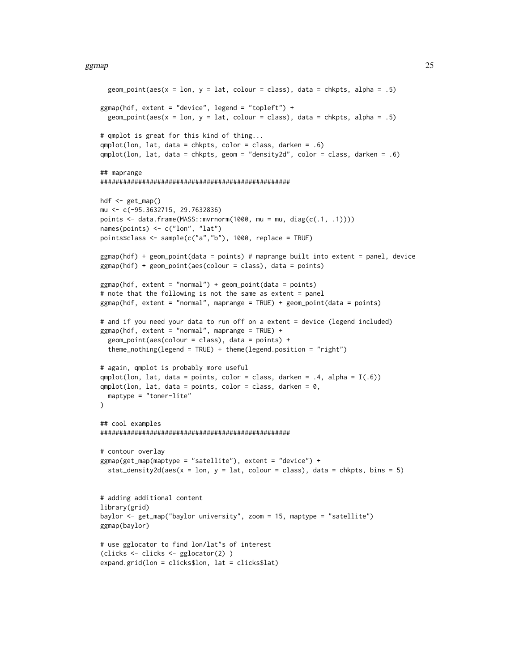```
geom_point(aes(x = 1on, y = 1at, colour = class), data = chkpts, alpha = .5)
ggmap(hdf, extent = "device", legend = "topleft") +
 geom\_point(aes(x = lon, y = lat, colour = class), data = chkpts, alpha = .5)# qmplot is great for this kind of thing...
qmplot(lon, lat, data = chkpts, color = class, darken = .6)
qmplot(lon, lat, data = chkpts, geom = "density2d", color = class, darken = .6)
## maprange
##################################################
hdf <- get_map()
mu <- c(-95.3632715, 29.7632836)
points <- data.frame(MASS::mvrnorm(1000, mu = mu, diag(c(.1, .1))))
names(points) <- c("lon", "lat")
points$class <- sample(c("a","b"), 1000, replace = TRUE)
ggmap(hdf) + geom_point(data = points) # maprange built into extent = panel, device
ggmap(hdf) + geom_point(aes(colour = class), data = points)
g\text{gmap}(hdf, \text{extent} = "normal") + geom-point(data = points)# note that the following is not the same as extent = panel
ggmap(hdf, extent = "normal", maprange = TRUE) + geom_point(data = points)
# and if you need your data to run off on a extent = device (legend included)
ggmap(hdf, extent = "normal", maprange = TRUE) +
 geom\_point(aes(colour = class), data = points) +theme_nothing(legend = TRUE) + theme(legend.position = "right")
# again, qmplot is probably more useful
qmplot(lon, lat, data = points, color = class, darken = .4, alpha = I(.6))
qmplot(lon, lat, data = points, color = class, darken = <math>0</math>,maptype = "toner-lite"
\lambda## cool examples
##################################################
# contour overlay
ggmap(get_map(maptype = "satellite"), extent = "device") +
 stat_density2d(aes(x = lon, y = lat, colour = class), data = chkpts, bins = 5)
# adding additional content
library(grid)
baylor <- get_map("baylor university", zoom = 15, maptype = "satellite")
ggmap(baylor)
# use gglocator to find lon/lat"s of interest
(clicks <- clicks <- gglocator(2) )
expand.grid(lon = clicks$lon, lat = clicks$lat)
```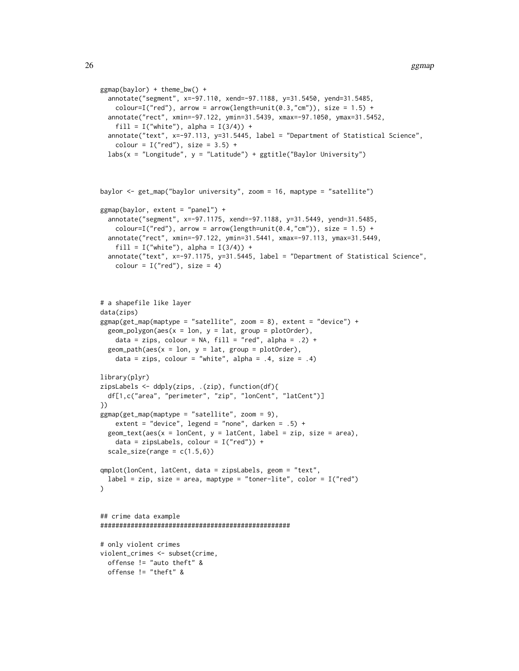```
ggmap(baylor) + theme_bw() +
 annotate("segment", x=-97.110, xend=-97.1188, y=31.5450, yend=31.5485,
   colour=I("red"), arrow = arrow(length=unit(0.3,"cm")), size = 1.5) +
 annotate("rect", xmin=-97.122, ymin=31.5439, xmax=-97.1050, ymax=31.5452,
   fill = I("white"), alpha = I(3/4)) +
 annotate("text", x=-97.113, y=31.5445, label = "Department of Statistical Science",
   colour = I("red"), size = 3.5) +labs(x = "Longitude", y = "Latitude") + ggitle("Baylor University")
```

```
baylor <- get_map("baylor university", zoom = 16, maptype = "satellite")
ggmap(baylor, extent = "panel") +
 annotate("segment", x=-97.1175, xend=-97.1188, y=31.5449, yend=31.5485,
    colour=I("red"), arrow = arrow(length=unit(0.4,"cm")), size = 1.5) +
 annotate("rect", xmin=-97.122, ymin=31.5441, xmax=-97.113, ymax=31.5449,
    fill = I("white"), alpha = I(3/4)) +
 annotate("text", x=-97.1175, y=31.5445, label = "Department of Statistical Science",
```

```
colour = I("red"), size = 4)
```

```
# a shapefile like layer
data(zips)
ggmap(get_map(maptype = "satellite", zoom = 8), extent = "device") +
 geom\_polygon(aes(x = lon, y = lat, group = plotOrder),data = zips, colour = NA, fill = "red", alpha = .2) +
 geom\_path(aes(x = lon, y = lat, group = plotOrder),data = zips, colour = "white", alpha = .4, size = .4)
library(plyr)
zipsLabels <- ddply(zips, .(zip), function(df){
 df[1,c("area", "perimeter", "zip", "lonCent", "latCent")]
})
ggmap(get_map(maptype = "satellite", zoom = 9),
    extent = "device", legend = "none", darken = .5) +
 geom\_text(aes(x = lonCent, y = latCent, label = zip, size = area),data = zipsLabels, colour = I("red")) +
 scale\_size(range = c(1.5, 6))qmplot(lonCent, latCent, data = zipsLabels, geom = "text",
 label = zip, size = area, maptype = "toner-like", color = I("red"))
## crime data example
##################################################
# only violent crimes
violent_crimes <- subset(crime,
 offense != "auto theft" &
 offense != "theft" &
```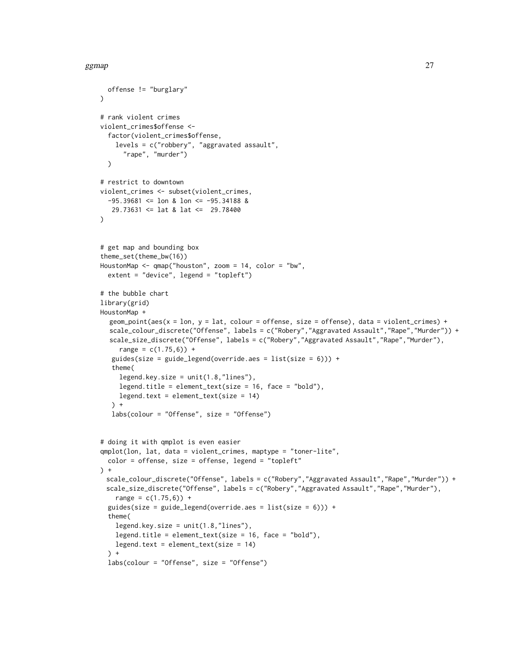```
offense != "burglary"
)
# rank violent crimes
violent_crimes$offense <-
 factor(violent_crimes$offense,
   levels = c("robbery", "aggravated assault",
      "rape", "murder")
 \lambda# restrict to downtown
violent_crimes <- subset(violent_crimes,
 -95.39681 \leq 1on & 1on \leq -95.34188 &
   29.73631 <= lat & lat <= 29.78400
)
# get map and bounding box
theme_set(theme_bw(16))
HoustonMap <- qmap("houston", zoom = 14, color = "bw",
 extent = "device", legend = "topleft")
# the bubble chart
library(grid)
HoustonMap +
  geom\_point(aes(x = lon, y = lat, colour = offense, size = offense), data = violent\_crimes) +scale_colour_discrete("Offense", labels = c("Robery","Aggravated Assault","Rape","Murder")) +
  scale_size_discrete("Offense", labels = c("Robery","Aggravated Assault","Rape","Murder"),
     range = c(1.75, 6) +
   guides(size = guide_legend(override.aes = list(size = 6))) +
   theme(
     legend.key.size = unit(1.8, "lines"),
     legend.title = element_text(size = 16, face = "bold"),
     legend.text = element_text(size = 14)
  \rightarrow +
  labs(colour = "Offense", size = "Offense")
# doing it with qmplot is even easier
qmplot(lon, lat, data = violent_crimes, maptype = "toner-lite",
 color = offense, size = offense, legend = "topleft"
) +
 scale_colour_discrete("Offense", labels = c("Robery","Aggravated Assault","Rape","Murder")) +
 scale_size_discrete("Offense", labels = c("Robery","Aggravated Assault","Rape","Murder"),
   range = c(1.75, 6) +
 guides(size = guide_legend(override.aes = list(size = 6))) +
 theme(
    legend.key.size = unit(1.8, "lines"),
    legend.title = element_text(size = 16, face = "bold"),
   legend.text = element_test(size = 14)\rightarrowlabs(colour = "Offense", size = "Offense")
```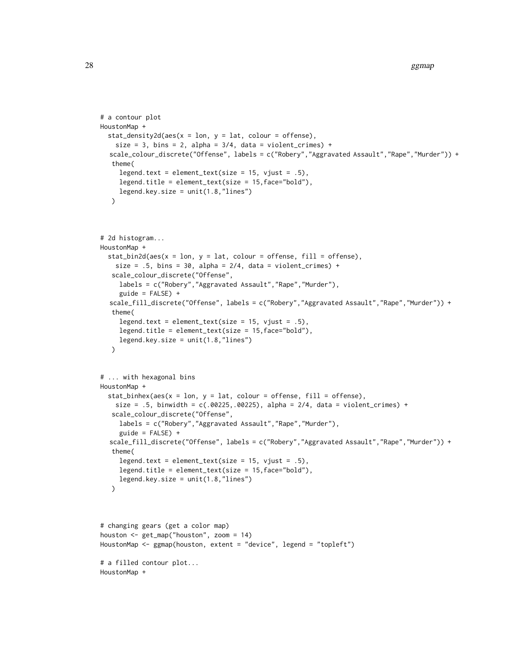```
# a contour plot
HoustonMap +
  stat_density2d(aes(x = \text{lon}, y = \text{lat}, \text{colour} = \text{offense}),
    size = 3, bins = 2, alpha = 3/4, data = violent_crimes) +
  scale_colour_discrete("Offense", labels = c("Robery","Aggravated Assault","Rape","Murder")) +
   theme(
     legend.text = element_text(size = 15, vjust = .5),
     legend.title = element_text(size = 15,face="bold"),
     legend.key.size = unit(1.8,"lines")
   )
# 2d histogram...
HoustonMap +
  stat\_bin2d(aes(x = lon, y = lat, colour = offense, fill = offense),size = .5, bins = 30, alpha = 2/4, data = violent_crimes) +
   scale_colour_discrete("Offense",
     labels = c("Robery","Aggravated Assault","Rape","Murder"),
     guide = FALSE) +
  scale_fill_discrete("Offense", labels = c("Robery","Aggravated Assault","Rape","Murder")) +
   theme(
     legend.text = element_text(size = 15, vjust = .5),
     legend.title = element_text(size = 15,face="bold"),
     legend.key.size = unit(1.8, "lines"))
# ... with hexagonal bins
HoustonMap +
  stat_binhex(aes(x = 1on, y = 1at, colour = offense, fill = offense),
    size = .5, binwidth = c(.00225,.00225), alpha = 2/4, data = violent_crimes) +
   scale_colour_discrete("Offense",
     labels = c("Robery","Aggravated Assault","Rape","Murder"),
     guide = FALSE) +
  scale_fill_discrete("Offense", labels = c("Robery","Aggravated Assault","Rape","Murder")) +
   theme(
     legend.text = element_text(size = 15, vjust = .5),
     legend.title = element_text(size = 15,face="bold"),
     legend. key.size = unit(1.8, "lines"))
# changing gears (get a color map)
houston <- get_map("houston", zoom = 14)
HoustonMap <- ggmap(houston, extent = "device", legend = "topleft")
# a filled contour plot...
HoustonMap +
```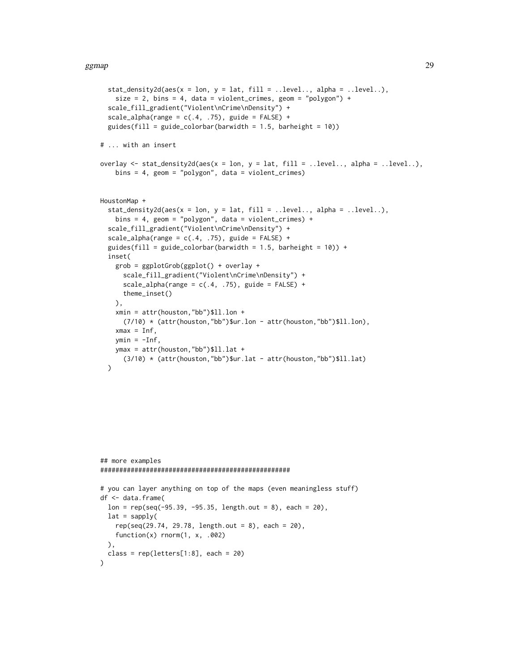```
stat\_density2d(aes(x = lon, y = lat, fill = ..level.., alpha = ..level..),size = 2, bins = 4, data = violent_crimes, geom = "polygon") +
 scale_fill_gradient("Violent\nCrime\nDensity") +
 scale_alpha(range = c(.4, .75), guide = FALSE) +
 guides(fill = guide_colorbar(barwidth = 1.5, barheight = 10))
# ... with an insert
overlay \le stat_density2d(aes(x = lon, y = lat, fill = ..level.., alpha = ..level..),
    bins = 4, geom = "polygon", data = violent_crimes)
HoustonMap +
 stat_density2d(aes(x = lon, y = lat, fill = ..level.., alpha = ..level..),
   bins = 4, geom = "polygon", data = violent_crimes) +
 scale_fill_gradient("Violent\nCrime\nDensity") +
 scale\_alpha(range = c(.4, .75), guide = FALSE) +guides(fill = guide_colorbar(barwidth = 1.5, barheight = 10)) +
 inset(
   grob = ggplotGrob(ggplot() + overlay +
     scale_fill_gradient("Violent\nCrime\nDensity") +
     scale_alpha(range = c(.4, .75), guide = FALSE) +
     theme_inset()
   ),
   xmin = attr(houston,"bb")$ll.lon +
     (7/10) * (attr(houston,"bb")$ur.lon - attr(houston,"bb")$ll.lon),
    xmax = Inf,
   ymin = -Inf,ymax = attr(houston,"bb")$ll.lat +
     (3/10) * (attr(houston,"bb")$ur.lat - attr(houston,"bb")$ll.lat)
 )
```

```
## more examples
##################################################
# you can layer anything on top of the maps (even meaningless stuff)
df <- data.frame(
 lon = rep(seq(-95.39, -95.35, length.out = 8), each = 20),lat = sapply(
   rep(seq(29.74, 29.78, length.out = 8), each = 20),
   function(x) rnorm(1, x, .002)
 \lambdaclass = rep(leftters[1:8], each = 20))
```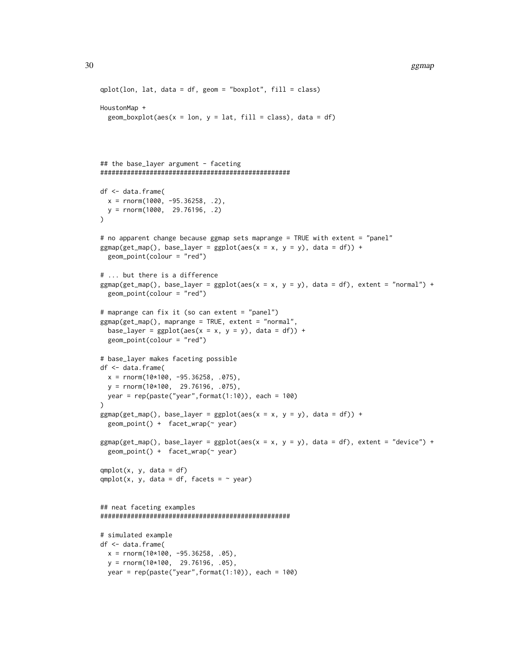```
qplot(lon, lat, data = df, geom = "boxplot", fill = class)
HoustonMap +
  geom_boxplot(aes(x = lon, y = lat, fill = class), data = df)## the base_layer argument - faceting
##################################################
df <- data.frame(
 x = \text{rnorm}(1000, -95.36258, .2)y = \text{rnorm}(1000, 29.76196, .2))
# no apparent change because ggmap sets maprange = TRUE with extent = "panel"
ggmap(get_map(), base_layer = gghot(aes(x = x, y = y), data = df)) +geom_point(colour = "red")
# ... but there is a difference
ggmap(get_map(), base_layer = ggplot(aes(x = x, y = y)), data = df), extent = "normal") +
  geom_point(colour = "red")
# maprange can fix it (so can extent = "panel")
ggmap(get_map(), maprange = TRUE, extent = "normal",
  base_layer = ggplot(aes(x = x, y = y), data = df)) +
  geom_point(colour = "red")
# base_layer makes faceting possible
df <- data.frame(
 x = rnorm(10*100, -95.36258, .075),
  y = rnorm(10*100, 29.76196, .075),
 year = rep(paste("year",format(1:10)), each = 100)
\lambdaggmap(get_map(), base_layer = gghot(aes(x = x, y = y), data = df)) +geom_point() + facet_wrap(~ year)
ggmap(get_map(), base_layer = ggbot(aes(x = x, y = y)), data = df), extent = "device") +
  geom_point() + facet_wrap(~ year)
qmplot(x, y, data = df)
qmplot(x, y, data = df, facets = ~ year)## neat faceting examples
##################################################
# simulated example
df <- data.frame(
  x = \text{rnorm}(10 \times 100, -95.36258, .05),
  y = rnorm(10*100, 29.76196, .05),
  year = rep(paste("year", format(1:10)), each = 100)
```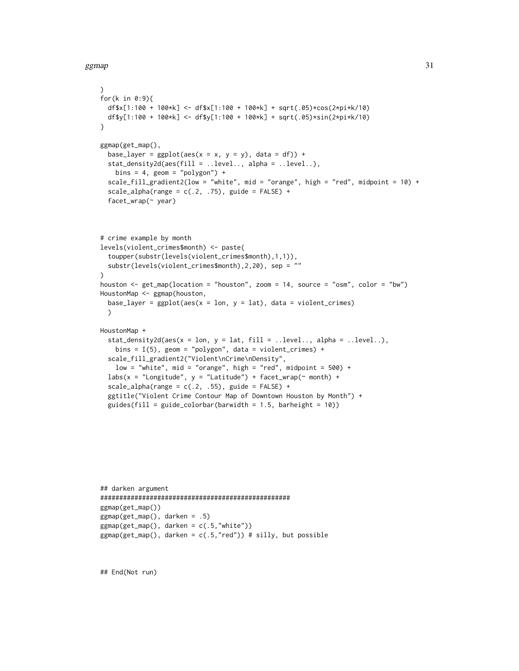```
\lambdafor(k in 0:9){
  df$x[1:100 + 100*k] <- df$x[1:100 + 100*k] + sqrt(.05)*cos(2*pi*k/10)
  df$y[1:100 + 100*k] <- df$y[1:100 + 100*k] + sqrt(.05)*sin(2*pi*k/10)
}
ggmap(get_map(),
  base_layer = ggplot(aes(x = x, y = y), data = df)) +stat_density2d(aes(fill = ..level.., alpha = ..level..),
   bins = 4, geom = "polygon") +
  scale_fill_gradient2(low = "white", mid = "orange", high = "red", midpoint = 10) +
  scale_alpha(range = c(.2, .75), guide = FALSE) +
  facet_wrap(~ year)
# crime example by month
levels(violent_crimes$month) <- paste(
  toupper(substr(levels(violent_crimes$month),1,1)),
  substr(levels(violent_crimes$month),2,20), sep = ""
)
houston <- get_map(location = "houston", zoom = 14, source = "osm", color = "bw")
HoustonMap <- ggmap(houston,
  base_layer = ggplot(aes(x = lon, y = lat), data = violent_crimes))
HoustonMap +
  stat_density2d(aes(x = lon, y = lat, fill = ..level.., alpha = ..level..),
    bins = I(5), geom = "polygon", data = violent_crimes) +
  scale_fill_gradient2("Violent\nCrime\nDensity",
   low = "white", mid = "orange", high = "red", midpoint = 500) +
  labs(x = "Longitude", y = "Latitude") + facet_wrap(~ month) +
  scale_alpha(range = c(.2, .55), guide = FALSE) +
  ggtitle("Violent Crime Contour Map of Downtown Houston by Month") +
  guides(fill = guide_colorbar(barwidth = 1.5, barheight = 10))
```

```
## darken argument
##################################################
ggmap(get_map())
ggmap(get_map(), darken = .5)
ggmap(get_map(), darken = c(.5,"white"))
ggmap(get_map(), darken = c(.5, "red")) # silly, but possible
```
## End(Not run)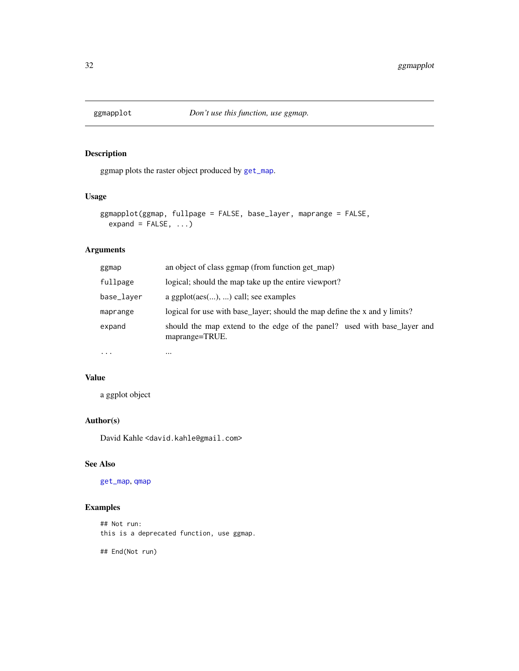<span id="page-31-0"></span>

ggmap plots the raster object produced by [get\\_map](#page-11-1).

### Usage

```
ggmapplot(ggmap, fullpage = FALSE, base_layer, maprange = FALSE,
 expand = FALSE, ...)
```
## Arguments

| ggmap      | an object of class ggmap (from function get_map)                                           |  |
|------------|--------------------------------------------------------------------------------------------|--|
| fullpage   | logical; should the map take up the entire viewport?                                       |  |
| base_layer | a ggplot $(aes(),)$ call; see examples                                                     |  |
| maprange   | logical for use with base_layer; should the map define the x and y limits?                 |  |
| expand     | should the map extend to the edge of the panel? used with base_layer and<br>maprange=TRUE. |  |
| $\cdots$   | $\cdots$                                                                                   |  |

#### Value

a ggplot object

#### Author(s)

David Kahle<br/><br/>d.kahle@gmail.com>

### See Also

[get\\_map](#page-11-1), [qmap](#page-41-1)

## Examples

## Not run: this is a deprecated function, use ggmap.

## End(Not run)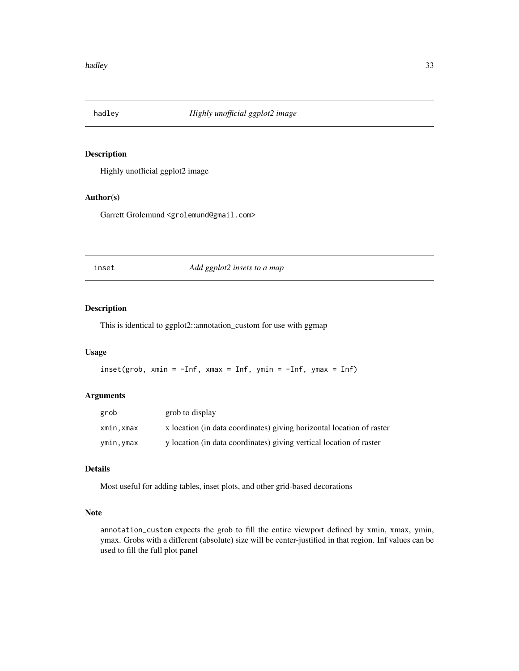<span id="page-32-0"></span>

Highly unofficial ggplot2 image

## Author(s)

Garrett Grolemund <grolemund@gmail.com>

inset *Add ggplot2 insets to a map*

#### Description

This is identical to ggplot2::annotation\_custom for use with ggmap

#### Usage

```
inset(grob, xmin = -Inf, xmax = Inf, ymin = -Inf, ymax = Inf)
```
## Arguments

| grob      | grob to display                                                       |
|-----------|-----------------------------------------------------------------------|
| xmin,xmax | x location (in data coordinates) giving horizontal location of raster |
| ymin,ymax | y location (in data coordinates) giving vertical location of raster   |

#### Details

Most useful for adding tables, inset plots, and other grid-based decorations

## Note

annotation\_custom expects the grob to fill the entire viewport defined by xmin, xmax, ymin, ymax. Grobs with a different (absolute) size will be center-justified in that region. Inf values can be used to fill the full plot panel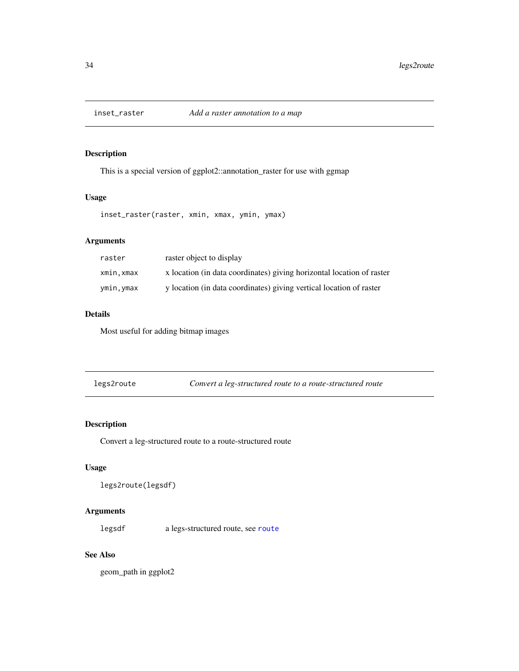<span id="page-33-0"></span>

This is a special version of ggplot2::annotation\_raster for use with ggmap

## Usage

inset\_raster(raster, xmin, xmax, ymin, ymax)

## Arguments

| raster     | raster object to display                                              |
|------------|-----------------------------------------------------------------------|
| xmin, xmax | x location (in data coordinates) giving horizontal location of raster |
| ymin, ymax | y location (in data coordinates) giving vertical location of raster   |

## Details

Most useful for adding bitmap images

<span id="page-33-1"></span>

| legs2route | Convert a leg-structured route to a route-structured route |
|------------|------------------------------------------------------------|
|            |                                                            |

## Description

Convert a leg-structured route to a route-structured route

## Usage

```
legs2route(legsdf)
```
## Arguments

legsdf a legs-structured route, see [route](#page-48-1)

## See Also

geom\_path in ggplot2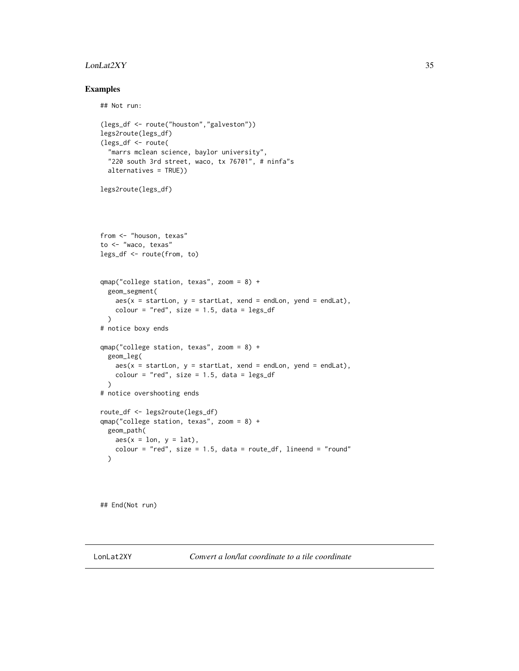#### <span id="page-34-0"></span>LonLat2XY 35

#### Examples

```
## Not run:
(legs_df <- route("houston","galveston"))
legs2route(legs_df)
(legs_df <- route(
  "marrs mclean science, baylor university",
  "220 south 3rd street, waco, tx 76701", # ninfa"s
  alternatives = TRUE))
legs2route(legs_df)
from <- "houson, texas"
to <- "waco, texas"
legs_df <- route(from, to)
qmap("college station, texas", zoom = 8) +
  geom_segment(
   aes(x = startLon, y = startLat, xend = endLon, yend = endLat),
   colour = "red", size = 1.5, data = legs_df\lambda# notice boxy ends
qmap("college station, texas", zoom = 8) +
  geom_leg(
   aes(x = startLon, y = startLat, xend = endLon, yend = endLat),
   colour = "red", size = 1.5, data = legs_df\lambda# notice overshooting ends
route_df <- legs2route(legs_df)
qmap("college station, texas", zoom = 8) +
 geom_path(
   aes(x = lon, y = lat),
   colour = "red", size = 1.5, data = route_df, lineend = "round"
  \lambda
```
## End(Not run)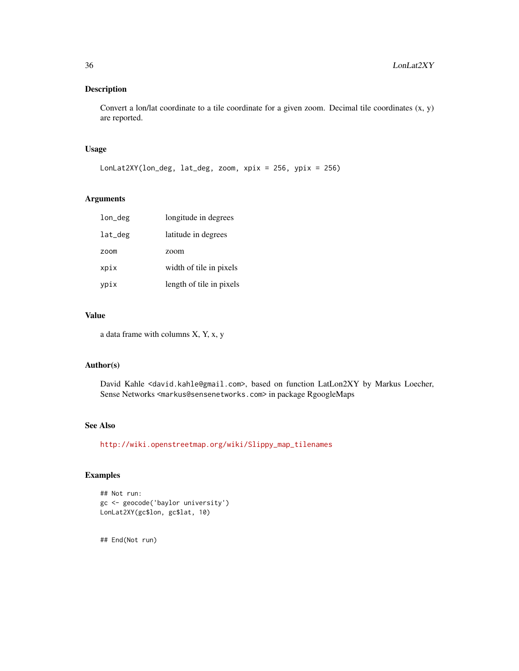Convert a lon/lat coordinate to a tile coordinate for a given zoom. Decimal tile coordinates (x, y) are reported.

## Usage

LonLat2XY(lon\_deg, lat\_deg, zoom, xpix = 256, ypix = 256)

#### Arguments

| lon_deg | longitude in degrees     |
|---------|--------------------------|
| lat_deg | latitude in degrees      |
| zoom    | zoom                     |
| xpix    | width of tile in pixels  |
| ypix    | length of tile in pixels |

#### Value

a data frame with columns X, Y, x, y

#### Author(s)

David Kahle <david.kahle@gmail.com>, based on function LatLon2XY by Markus Loecher, Sense Networks <markus@sensenetworks.com> in package RgoogleMaps

## See Also

[http://wiki.openstreetmap.org/wiki/Slippy\\_map\\_tilenames](http://wiki.openstreetmap.org/wiki/Slippy_map_tilenames)

## Examples

```
## Not run:
gc <- geocode('baylor university')
LonLat2XY(gc$lon, gc$lat, 10)
```
## End(Not run)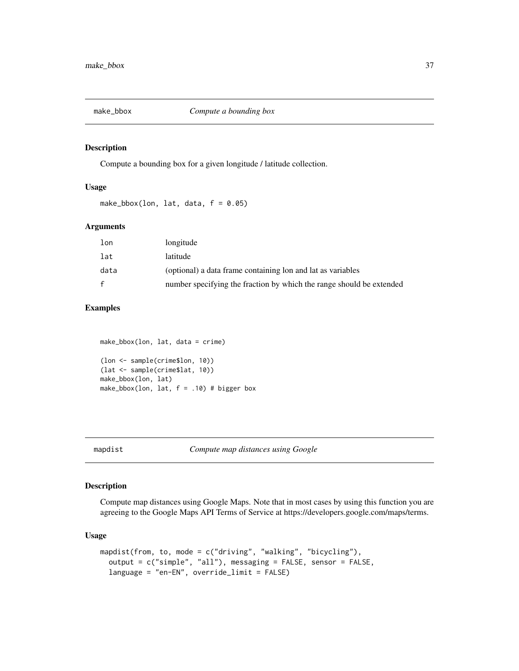<span id="page-36-1"></span><span id="page-36-0"></span>

Compute a bounding box for a given longitude / latitude collection.

## Usage

make\_bbox(lon, lat, data,  $f = 0.05$ )

#### Arguments

| lon          | longitude                                                            |
|--------------|----------------------------------------------------------------------|
| lat          | latitude                                                             |
| data         | (optional) a data frame containing lon and lat as variables          |
| $\mathbf{f}$ | number specifying the fraction by which the range should be extended |

## Examples

```
make_bbox(lon, lat, data = crime)
(lon <- sample(crime$lon, 10))
(lat <- sample(crime$lat, 10))
make_bbox(lon, lat)
make_bbox(lon, lat, f = .10) # bigger box
```
## Description

Compute map distances using Google Maps. Note that in most cases by using this function you are agreeing to the Google Maps API Terms of Service at https://developers.google.com/maps/terms.

## Usage

```
mapdist(from, to, mode = c("driving", "walking", "bicycling"),
 output = c("simple", "all"), messaging = FALSE, sensor = FALSE,
 language = "en-EN", override_limit = FALSE)
```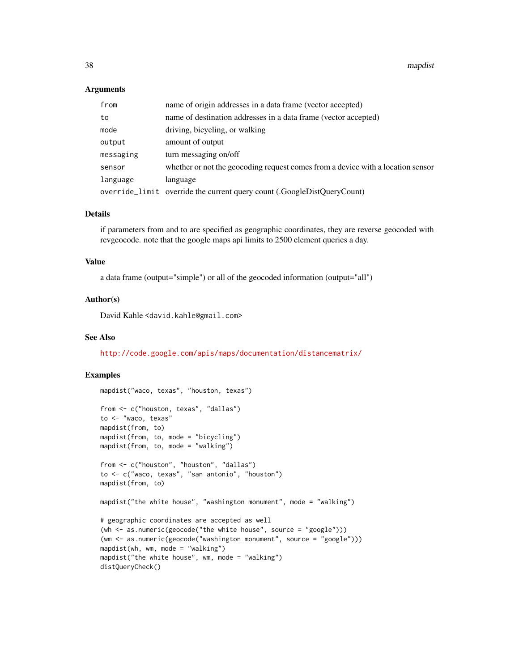38 mapdist number of the contract of the contract of the contract of the contract of the contract of the contract of the contract of the contract of the contract of the contract of the contract of the contract of the contr

#### **Arguments**

| from      | name of origin addresses in a data frame (vector accepted)                      |
|-----------|---------------------------------------------------------------------------------|
| to        | name of destination addresses in a data frame (vector accepted)                 |
| mode      | driving, bicycling, or walking                                                  |
| output    | amount of output                                                                |
| messaging | turn messaging on/off                                                           |
| sensor    | whether or not the geocoding request comes from a device with a location sensor |
| language  | language                                                                        |
|           | override_limit override the current query count (.GoogleDistQueryCount)         |

## Details

if parameters from and to are specified as geographic coordinates, they are reverse geocoded with revgeocode. note that the google maps api limits to 2500 element queries a day.

#### Value

a data frame (output="simple") or all of the geocoded information (output="all")

#### Author(s)

David Kahle<br/><br/>d.kahle@gmail.com>

#### See Also

<http://code.google.com/apis/maps/documentation/distancematrix/>

```
mapdist("waco, texas", "houston, texas")
from <- c("houston, texas", "dallas")
to <- "waco, texas"
mapdist(from, to)
mapdist(from, to, mode = "bicycling")
mapdist(from, to, mode = "walking")
from <- c("houston", "houston", "dallas")
to <- c("waco, texas", "san antonio", "houston")
mapdist(from, to)
mapdist("the white house", "washington monument", mode = "walking")
# geographic coordinates are accepted as well
(wh <- as.numeric(geocode("the white house", source = "google")))
(wm <- as.numeric(geocode("washington monument", source = "google")))
mapdist(wh, wm, mode = "walking")mapdist("the white house", wm, mode = "walking")
distQueryCheck()
```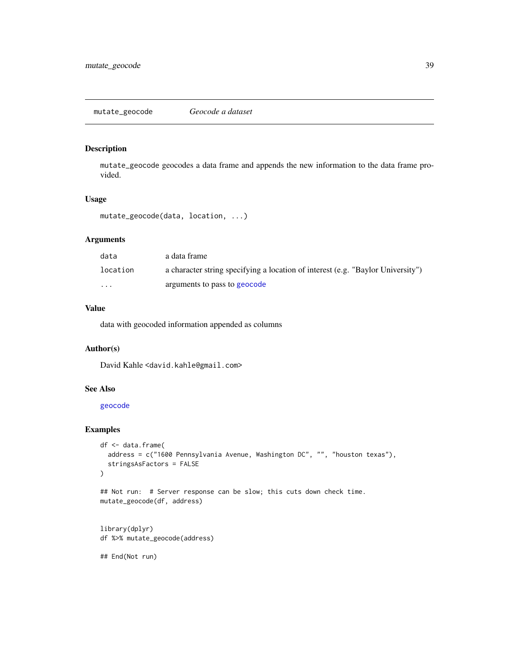<span id="page-38-1"></span><span id="page-38-0"></span>mutate\_geocode geocodes a data frame and appends the new information to the data frame provided.

#### Usage

```
mutate_geocode(data, location, ...)
```
## Arguments

| data     | a data frame                                                                    |
|----------|---------------------------------------------------------------------------------|
| location | a character string specifying a location of interest (e.g. "Baylor University") |
| $\cdots$ | arguments to pass to geocode                                                    |

## Value

data with geocoded information appended as columns

### Author(s)

David Kahle <david.kahle@gmail.com>

#### See Also

[geocode](#page-4-1)

## Examples

```
df <- data.frame(
  address = c("1600 Pennsylvania Avenue, Washington DC", "", "houston texas"),
  stringsAsFactors = FALSE
\lambda
```

```
## Not run: # Server response can be slow; this cuts down check time.
mutate_geocode(df, address)
```

```
library(dplyr)
df %>% mutate_geocode(address)
```
## End(Not run)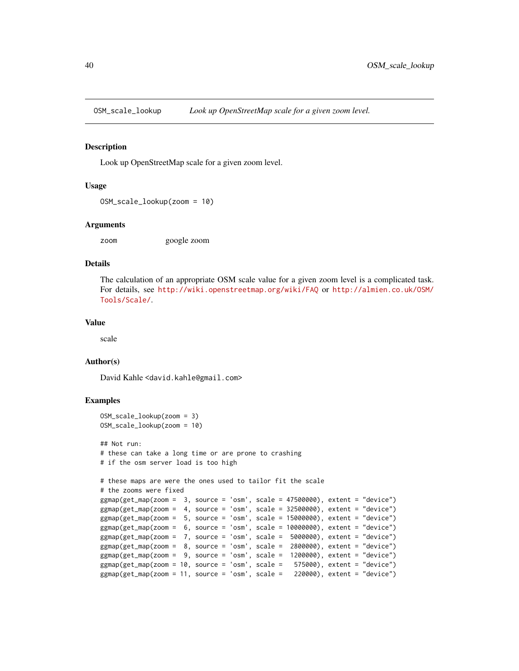<span id="page-39-1"></span><span id="page-39-0"></span>

Look up OpenStreetMap scale for a given zoom level.

#### Usage

```
OSM_scale_lookup(zoom = 10)
```
#### Arguments

zoom google zoom

#### Details

The calculation of an appropriate OSM scale value for a given zoom level is a complicated task. For details, see <http://wiki.openstreetmap.org/wiki/FAQ> or [http://almien.co.uk/OSM/](http://almien.co.uk/OSM/Tools/Scale/) [Tools/Scale/](http://almien.co.uk/OSM/Tools/Scale/).

## Value

scale

#### Author(s)

David Kahle <david.kahle@gmail.com>

```
OSM_scale_lookup(zoom = 3)
OSM_scale_lookup(zoom = 10)
## Not run:
# these can take a long time or are prone to crashing
# if the osm server load is too high
# these maps are were the ones used to tailor fit the scale
# the zooms were fixed
ggmap(get_map(zoom = 3, source = 'osm', scale = 47500000), extent = "device")
ggmap(get_map(zoom = 4, source = 'osm', scale = 32500000), extent = "device")
ggmap(get_map(zoom = 5, source = 'osm', scale = 15000000), extent = "device")
ggmap(get_map(zoom = 6, source = 'osm', scale = 10000000), extent = "device")
ggmap(get_map(zoom = 7, source = 'osm', scale = 5000000), extent = "device")
ggmap(get_map(zoom = 8, source = 'osm', scale = 2800000), extent = "device")
ggmap(get_map(zoom = 9, source = 'osm', scale = 1200000), extent = "device")
ggmap(get_map(zoom = 10, source = 'osm', scale = 575000), extent = "device")
ggmap(get_map(zoom = 11, source = 'osm', scale = 220000), extent = "device")
```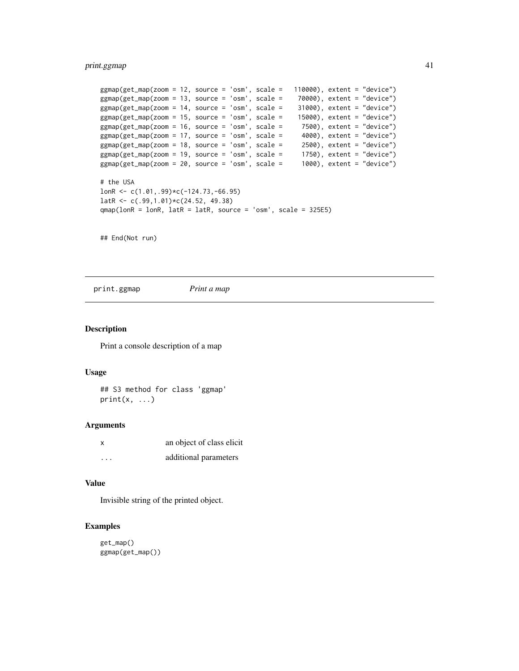## <span id="page-40-0"></span>print.ggmap 41

```
ggmap(get_map(zoom = 12, source = 'osm', scale = 110000), extent = "device")
ggmap(get_map(zoom = 13, source = 'osm', scale = 70000), extent = "device")
ggmap(get_map(zoom = 14, source = 'osm', scale = 31000), extent = "device")
ggmap(get_map(zoom = 15, source = 'osm', scale = 15000), extent = "device")
ggmap(get_map(zoom = 16, source = 'osm', scale = 7500), extent = "device")
ggmap(get_map(zoom = 17, source = 'osm', scale = 4000), extent = "device")ggmap(get_map(zoom = 18, source = 'osm', scale = 2500), extent = "device")
ggmap(get_map(zoom = 19, source = 'osm', scale = 1750), extent = "device")
ggmap(get_map(zoom = 20, source = 'osm', scale = 1000), extent = "device")
# the USA
lonR <- c(1.01,.99)*c(-124.73,-66.95)
latR <- c(.99,1.01)*c(24.52, 49.38)
qmap(lonR = lonR, latR = latR, source = 'osm', scale = 325E5)
```
## End(Not run)

print.ggmap *Print a map*

#### Description

Print a console description of a map

#### Usage

## S3 method for class 'ggmap'  $print(x, \ldots)$ 

#### Arguments

| x       | an object of class elicit |  |
|---------|---------------------------|--|
| $\cdot$ | additional parameters     |  |

#### Value

Invisible string of the printed object.

```
get_map()
ggmap(get_map())
```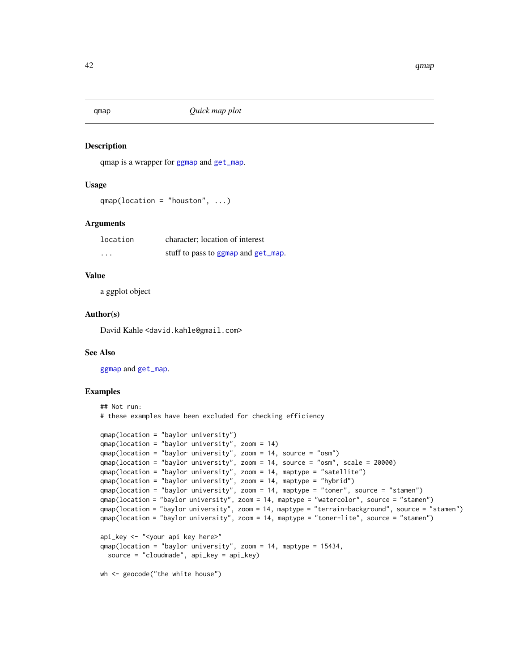<span id="page-41-1"></span><span id="page-41-0"></span>qmap *Quick map plot*

#### Description

qmap is a wrapper for [ggmap](#page-22-1) and [get\\_map](#page-11-1).

#### Usage

```
qmap(location = "houston", ...)
```
#### Arguments

| location | character; location of interest     |  |  |
|----------|-------------------------------------|--|--|
| $\cdots$ | stuff to pass to ggmap and get_map. |  |  |

## Value

a ggplot object

#### Author(s)

David Kahle<br/><br/>d.kahle@gmail.com>

#### See Also

[ggmap](#page-22-1) and [get\\_map](#page-11-1).

```
## Not run:
# these examples have been excluded for checking efficiency
qmap(location = "baylor university")
qmap(location = "baylor university", zoom = 14)
qmap(location = "baylor university", zoom = 14, source = "osm")
qmap(location = "baylor university", zoom = 14, source = "osm", scale = 20000)
qmap(location = "baylor university", zoom = 14, maptype = "satellite")
qmap(location = "baylor university", zoom = 14, maptype = "hybrid")
qmap(location = "baylor university", zoom = 14, maptype = "toner", source = "stamen")
qmap(location = "baylor university", zoom = 14, maptype = "watercolor", source = "stamen")
qmap(location = "baylor university", zoom = 14, maptype = "terrain-background", source = "stamen")
qmap(location = "baylor university", zoom = 14, maptype = "toner-lite", source = "stamen")
api_key <- "<your api key here>"
qmap(location = "baylor university", zoom = 14, maptype = 15434,source = "cloudmade", api_key = api_key)
wh <- geocode("the white house")
```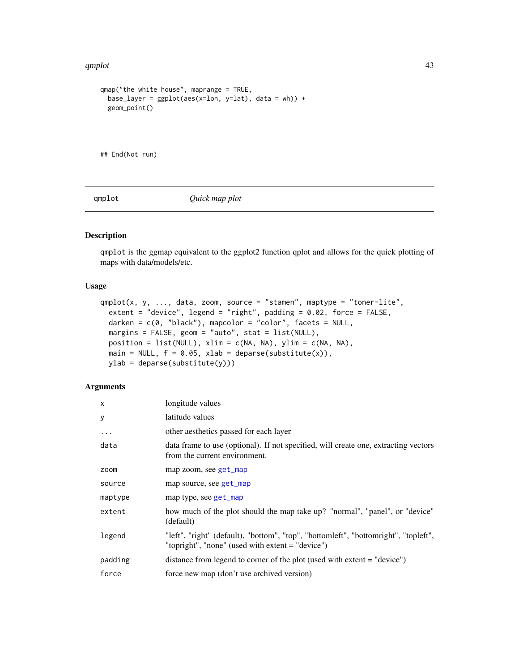#### <span id="page-42-0"></span>qmplot that a state of the contract of the contract of the contract of the contract of the contract of the contract of the contract of the contract of the contract of the contract of the contract of the contract of the con

```
qmap("the white house", maprange = TRUE,
  base_layer = ggplot(aes(x=lon, y=lat), data = wh)) +geom_point()
## End(Not run)
```
qmplot *Quick map plot*

## Description

qmplot is the ggmap equivalent to the ggplot2 function qplot and allows for the quick plotting of maps with data/models/etc.

#### Usage

```
qmplot(x, y, ..., data, zoom, source = "stamen", maptype = "toner-like",extent = "device", legend = "right", padding = 0.02, force = FALSE,
  darken = c(\emptyset, "black"), mapcolor = "color", facets = NULL,margins = FALSE, geom = "auto", stat = list(NULL),
 position = list(NULL), xlim = c(NA, NA), ylim = c(NA, NA),
 main = NULL, f = 0.05, xlab = deparse(substitute(x)),
  ylab = deparse(substitute(y)))
```
## Arguments

| X        | longitude values                                                                                                                          |
|----------|-------------------------------------------------------------------------------------------------------------------------------------------|
| y        | latitude values                                                                                                                           |
| $\cdots$ | other aesthetics passed for each layer                                                                                                    |
| data     | data frame to use (optional). If not specified, will create one, extracting vectors<br>from the current environment.                      |
| zoom     | map zoom, see get_map                                                                                                                     |
| source   | map source, see get_map                                                                                                                   |
| maptype  | map type, see get_map                                                                                                                     |
| extent   | how much of the plot should the map take up? "normal", "panel", or "device"<br>(default)                                                  |
| legend   | "left", "right" (default), "bottom", "top", "bottomleft", "bottomright", "topleft",<br>"topright", "none" (used with extent $=$ "device") |
| padding  | distance from legend to corner of the plot (used with extent $=$ "device")                                                                |
| force    | force new map (don't use archived version)                                                                                                |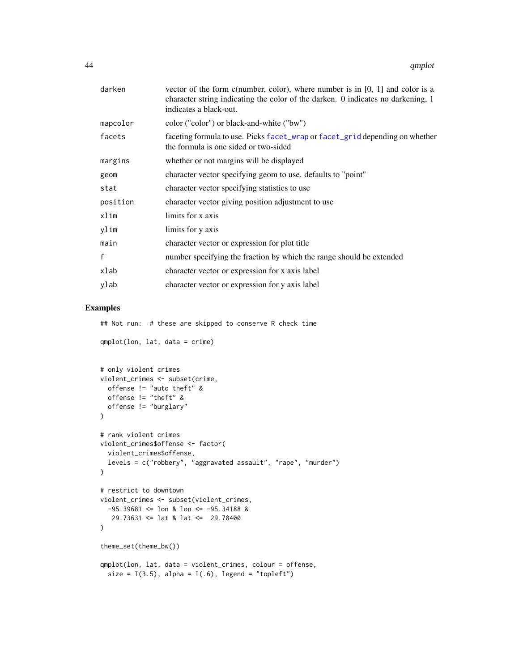<span id="page-43-0"></span>

| darken       | vector of the form c(number, color), where number is in $[0, 1]$ and color is a<br>character string indicating the color of the darken. 0 indicates no darkening, 1<br>indicates a black-out. |
|--------------|-----------------------------------------------------------------------------------------------------------------------------------------------------------------------------------------------|
| mapcolor     | color ("color") or black-and-white ("bw")                                                                                                                                                     |
| facets       | faceting formula to use. Picks facet_wrap or facet_grid depending on whether<br>the formula is one sided or two-sided                                                                         |
| margins      | whether or not margins will be displayed                                                                                                                                                      |
| geom         | character vector specifying geom to use, defaults to "point"                                                                                                                                  |
| stat         | character vector specifying statistics to use                                                                                                                                                 |
| position     | character vector giving position adjustment to use                                                                                                                                            |
| xlim         | limits for x axis                                                                                                                                                                             |
| ylim         | limits for y axis                                                                                                                                                                             |
| main         | character vector or expression for plot title                                                                                                                                                 |
| $\mathsf{f}$ | number specifying the fraction by which the range should be extended                                                                                                                          |
| xlab         | character vector or expression for x axis label                                                                                                                                               |
| ylab         | character vector or expression for y axis label                                                                                                                                               |
|              |                                                                                                                                                                                               |

## Examples

## Not run: # these are skipped to conserve R check time

qmplot(lon, lat, data = crime)

```
# only violent crimes
violent_crimes <- subset(crime,
  offense != "auto theft" &
 offense != "theft" &
 offense != "burglary"
\mathcal{L}# rank violent crimes
violent_crimes$offense <- factor(
 violent_crimes$offense,
 levels = c("robbery", "aggravated assault", "rape", "murder")
)
# restrict to downtown
violent_crimes <- subset(violent_crimes,
  -95.39681 \leq 1on & 1on \leq -95.34188 &
  29.73631 <= lat & lat <= 29.78400
\mathcal{L}theme_set(theme_bw())
qmplot(lon, lat, data = violent_crimes, colour = offense,
 size = I(3.5), alpha = I(.6), legend = "topleft")
```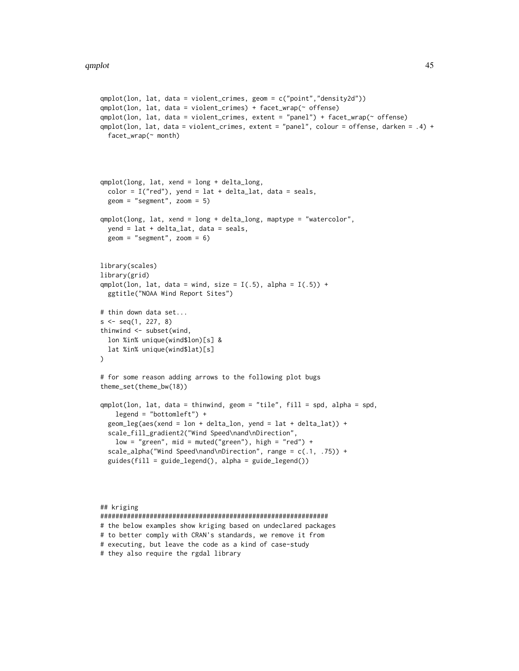```
qmplot(lon, lat, data = violent_crimes, geom = c("point","density2d"))
qmplot(lon, lat, data = violent_crimes) + facet_wrap(~ offense)
qmplot(lon, lat, data = violent_crimes, extent = "panel") + facet_wrap(~ offense)
qmplot(lon, lat, data = violent_crimes, extent = "panel", colour = offense, darken = .4) +
 facet_wrap(~ month)
qmplot(long, lat, xend = long + delta_long,
 color = I("red"), yend = lat + delta_lat, data = seals,
 geom = "segment", zoom = 5)qmplot(long, lat, xend = long + delta_long, maptype = "watercolor",
 yend = lat + delta_lat, data = seals,
 geom = "segment", zoom = 6)
library(scales)
library(grid)
qmplot(lon, lat, data = wind, size = I(.5), alpha = I(.5)) +
 ggtitle("NOAA Wind Report Sites")
# thin down data set...
s <- seq(1, 227, 8)
thinwind <- subset(wind,
 lon %in% unique(wind$lon)[s] &
 lat %in% unique(wind$lat)[s]
\lambda# for some reason adding arrows to the following plot bugs
theme_set(theme_bw(18))
qmplot(lon, lat, data = thinwind, geom = "tile", fill = spd, alpha = spd,
    legend = "bottomleft") +
 geom_leg(aes(xend = lon + delta_lon, yend = lat + delta_lat)) +
 scale_fill_gradient2("Wind Speed\nand\nDirection",
    low = "green", mid = muted("green"), high = "red") +
  scale_alpha("Wind Speed\nand\nDirection", range = c(.1, .75)) +
 guides(fill = guide_legend(), alpha = guide_legend())
## kriging
```
############################################################

```
# the below examples show kriging based on undeclared packages
# to better comply with CRAN's standards, we remove it from
# executing, but leave the code as a kind of case-study
```

```
# they also require the rgdal library
```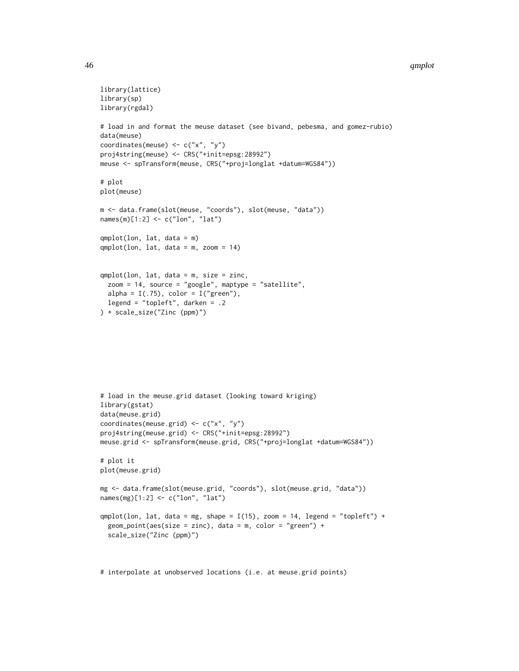#### 46 and the contract of the contract of the contract of the contract of the contract of the contract of the contract of the contract of the contract of the contract of the contract of the contract of the contract of the con

```
library(lattice)
library(sp)
library(rgdal)
# load in and format the meuse dataset (see bivand, pebesma, and gomez-rubio)
data(meuse)
coordinates(meuse) <- c("x", "y")
proj4string(meuse) <- CRS("+init=epsg:28992")
meuse <- spTransform(meuse, CRS("+proj=longlat +datum=WGS84"))
# plot
plot(meuse)
m <- data.frame(slot(meuse, "coords"), slot(meuse, "data"))
names(m)[1:2] <- c("lon", "lat")
qmplot(lon, lat, data = m)
qmplot(lon, lat, data = m, zoom = 14)
qmplot(lon, lat, data = m, size = zinc,
  zoom = 14, source = "google", maptype = "satellite",
  alpha = I(.75), color = I("green"),legend = "topleft", darken = .2
) + scale_size("Zinc (ppm)")
# load in the meuse.grid dataset (looking toward kriging)
library(gstat)
data(meuse.grid)
coordinates(meuse.grid) <- c("x", "y")
proj4string(meuse.grid) <- CRS("+init=epsg:28992")
meuse.grid <- spTransform(meuse.grid, CRS("+proj=longlat +datum=WGS84"))
# plot it
plot(meuse.grid)
```

```
mg <- data.frame(slot(meuse.grid, "coords"), slot(meuse.grid, "data"))
names(mg)[1:2] <- c("lon", "lat")
```

```
qmplot(lon, lat, data = mg, shape = I(15), zoom = 14, legend = "topleft") +
 geom\_point(aes(size = zinc), data = m, color = "green") +scale_size("Zinc (ppm)")
```
# interpolate at unobserved locations (i.e. at meuse.grid points)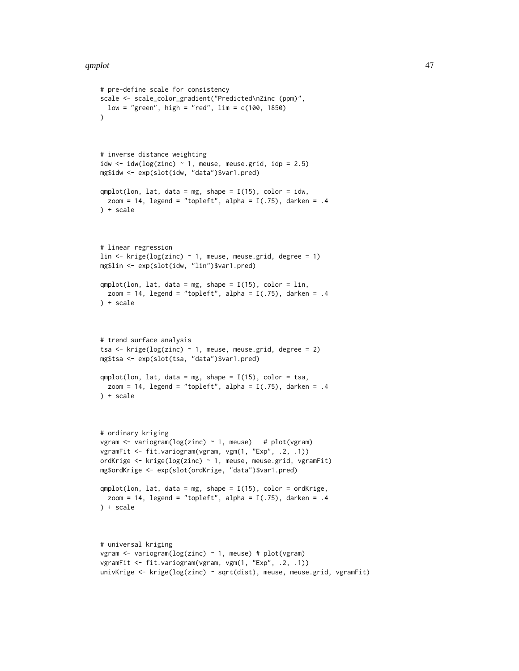```
# pre-define scale for consistency
scale <- scale_color_gradient("Predicted\nZinc (ppm)",
 low = "green", high = "red", \lim = c(100, 1850)\lambda# inverse distance weighting
idw \le idw(log(zinc) \sim 1, meuse, meuse.grid, idp = 2.5)
mg$idw <- exp(slot(idw, "data")$var1.pred)
qmplot(lon, lat, data = mg, shape = I(15), color = idw,zoom = 14, legend = "topleft", alpha = I(.75), darken = .4
) + scale
# linear regression
lin \le krige(log(zinc) \sim 1, meuse, meuse.grid, degree = 1)
mg$lin <- exp(slot(idw, "lin")$var1.pred)
qmplot(lon, lat, data = mg, shape = I(15), color = lin,zoom = 14, legend = "topleft", alpha = I(.75), darken = .4
) + scale
# trend surface analysis
tsa <- krige(log(zinc) ~ 1, meuse, meuse.grid, degree = 2)
mg$tsa <- exp(slot(tsa, "data")$var1.pred)
qmplot(lon, lat, data = mg, shape = I(15), color = tsa,
 zoom = 14, legend = "topleft", alpha = I(.75), darken = .4
) + scale
# ordinary kriging
vgram \le variogram(log(zinc) \sim 1, meuse) # plot(vgram)
vgramFit <- fit.variogram(vgram, vgm(1, "Exp", .2, .1))
ordKrige <- krige(log(zinc) ~ 1, meuse, meuse.grid, vgramFit)
mg$ordKrige <- exp(slot(ordKrige, "data")$var1.pred)
qmplot(lon, lat, data = mg, shape = I(15), color = ordKrige,zoom = 14, legend = "topleft", alpha = I(.75), darken = .4
) + scale
# universal kriging
vgram <- variogram(log(zinc) ~ 1, meuse) # plot(vgram)
vgramFit <- fit.variogram(vgram, vgm(1, "Exp", .2, .1))
univKrige <- krige(log(zinc) ~ sqrt(dist), meuse, meuse.grid, vgramFit)
```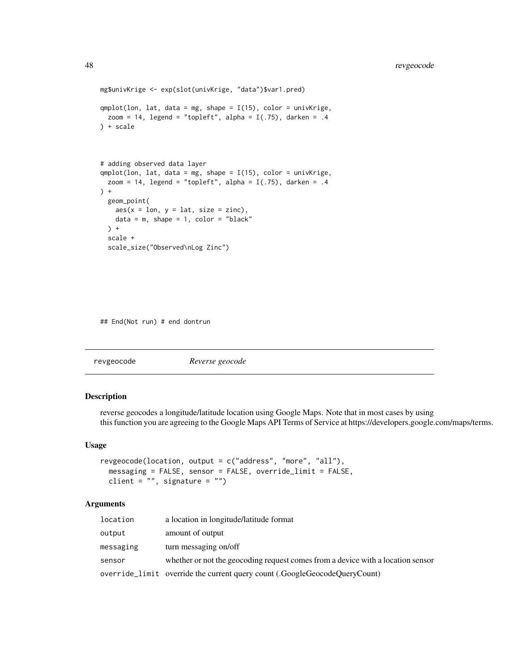```
mg$univKrige <- exp(slot(univKrige, "data")$var1.pred)
qmplot(lon, lat, data = mg, shape = I(15), color = univKrige,
 zoom = 14, legend = "topleft", alpha = I(.75), darken = .4
) + scale
# adding observed data layer
qmplot(lon, lat, data = mg, shape = I(15), color = univKrige,zoom = 14, legend = "topleft", alpha = I(.75), darken = .4
) +geom_point(
   aes(x = lon, y = lat, size = zinc),data = m, shape = 1, color = "black"
  ) +
  scale +
  scale_size("Observed\nLog Zinc")
```
## End(Not run) # end dontrun

| revgeocode | Reverse geocode |  |
|------------|-----------------|--|
|------------|-----------------|--|

## Description

reverse geocodes a longitude/latitude location using Google Maps. Note that in most cases by using this function you are agreeing to the Google Maps API Terms of Service at https://developers.google.com/maps/terms.

#### Usage

```
revgeocode(location, output = c("address", "more", "all"),
 messaging = FALSE, sensor = FALSE, override_limit = FALSE,
 client = ", signature = ")
```
#### Arguments

| location  | a location in longitude/latitude format                                         |
|-----------|---------------------------------------------------------------------------------|
| output    | amount of output                                                                |
| messaging | turn messaging on/off                                                           |
| sensor    | whether or not the geocoding request comes from a device with a location sensor |
|           | override_limit override the current query count (.GoogleGeocodeQueryCount)      |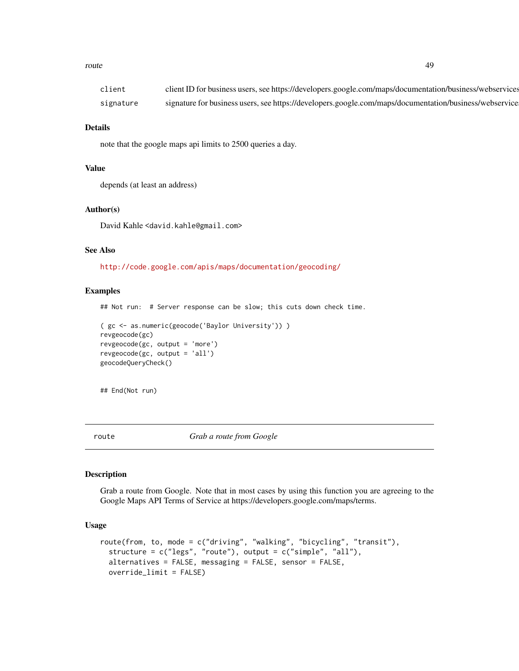#### <span id="page-48-0"></span>route and the state of the state of the state of the state of the state of the state of the state of the state of the state of the state of the state of the state of the state of the state of the state of the state of the

| client    | client ID for business users, see https://developers.google.com/maps/documentation/business/webservices |
|-----------|---------------------------------------------------------------------------------------------------------|
| signature | signature for business users, see https://developers.google.com/maps/documentation/business/webservice  |

#### Details

note that the google maps api limits to 2500 queries a day.

## Value

depends (at least an address)

#### Author(s)

David Kahle<br/><br/>d.kahle@gmail.com>

#### See Also

<http://code.google.com/apis/maps/documentation/geocoding/>

#### Examples

## Not run: # Server response can be slow; this cuts down check time.

```
( gc <- as.numeric(geocode('Baylor University')) )
revgeocode(gc)
revgeocode(gc, output = 'more')
revgeocode(gc, output = 'all')
geocodeQueryCheck()
```

```
## End(Not run)
```
<span id="page-48-1"></span>route *Grab a route from Google*

## Description

Grab a route from Google. Note that in most cases by using this function you are agreeing to the Google Maps API Terms of Service at https://developers.google.com/maps/terms.

## Usage

```
route(from, to, mode = c("driving", "walking", "bicycling", "transit"),
  structure = c("legs", "route"), output = <math>c("simple", "all"),alternatives = FALSE, messaging = FALSE, sensor = FALSE,
  override_limit = FALSE)
```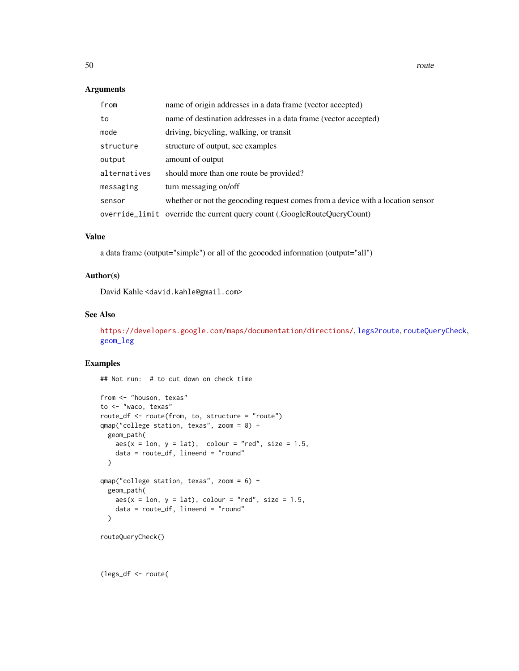#### <span id="page-49-0"></span>Arguments

| from         | name of origin addresses in a data frame (vector accepted)                      |
|--------------|---------------------------------------------------------------------------------|
| to           | name of destination addresses in a data frame (vector accepted)                 |
| mode         | driving, bicycling, walking, or transit                                         |
| structure    | structure of output, see examples                                               |
| output       | amount of output                                                                |
| alternatives | should more than one route be provided?                                         |
| messaging    | turn messaging on/off                                                           |
| sensor       | whether or not the geocoding request comes from a device with a location sensor |
|              | override_limit override the current query count (.GoogleRouteQueryCount)        |

## Value

a data frame (output="simple") or all of the geocoded information (output="all")

## Author(s)

David Kahle <david.kahle@gmail.com>

## See Also

<https://developers.google.com/maps/documentation/directions/>, [legs2route](#page-33-1), [routeQueryCheck](#page-50-1), [geom\\_leg](#page-6-1)

## Examples

## Not run: # to cut down on check time

```
from <- "houson, texas"
to <- "waco, texas"
route_df <- route(from, to, structure = "route")
qmap("college station, texas", zoom = 8) +
 geom_path(
   aes(x = lon, y = lat), colour = "red", size = 1.5,data = route_df, lineend = "round"
  )
qmap("college station, texas", zoom = 6) +
  geom_path(
   aes(x = lon, y = lat), colour = "red", size = 1.5,data = route_df, lineend = "round"
  \lambdarouteQueryCheck()
```
(legs\_df <- route(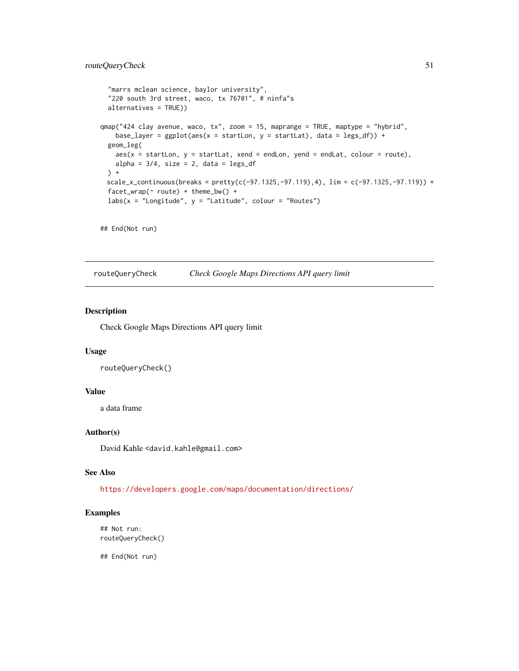## <span id="page-50-0"></span>routeQueryCheck 51

```
"marrs mclean science, baylor university",
 "220 south 3rd street, waco, tx 76701", # ninfa"s
 alternatives = TRUE))
qmap("424 clay avenue, waco, tx", zoom = 15, maprange = TRUE, maptype = "hybrid",
   base_layer = ggplot(aes(x = startLon, y = startLat), data = legs_df) +
 geom_leg(
   aes(x = startLon, y = startLat, xend = endLon, yend = endLat, colour = route),alpha = 3/4, size = 2, data = legs_d) +
 scale_x_{continuous}(breaks = pretty(c(-97.1325, -97.119), 4), lim = c(-97.1325, -97.119)) +facet_wrap(~ route) + theme_bw() +
 labs(x = "Longitude", y = "Latitude", colour = "Routers")
```

```
## End(Not run)
```
<span id="page-50-1"></span>routeQueryCheck *Check Google Maps Directions API query limit*

#### Description

Check Google Maps Directions API query limit

#### Usage

```
routeQueryCheck()
```
## Value

a data frame

### Author(s)

David Kahle<br/><br/>d.kahle@gmail.com>

## See Also

<https://developers.google.com/maps/documentation/directions/>

## Examples

```
## Not run:
routeQueryCheck()
```
## End(Not run)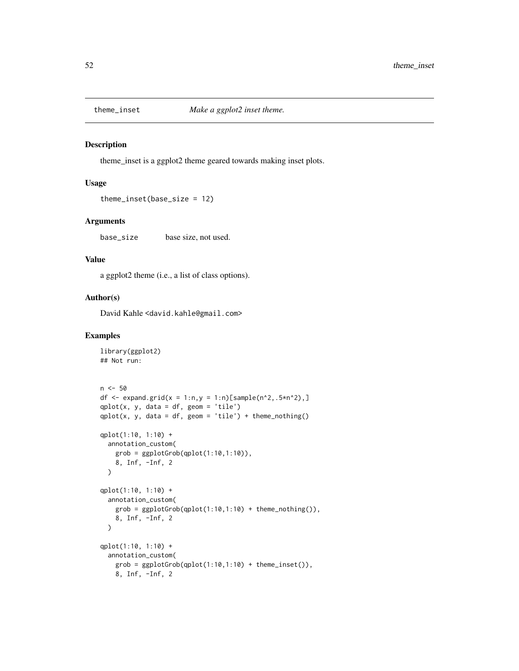<span id="page-51-0"></span>

theme\_inset is a ggplot2 theme geared towards making inset plots.

#### Usage

```
theme_inset(base_size = 12)
```
#### Arguments

base\_size base size, not used.

#### Value

a ggplot2 theme (i.e., a list of class options).

## Author(s)

David Kahle<br/><br/>d.kahle@gmail.com>

```
library(ggplot2)
## Not run:
n < -50df <- expand.grid(x = 1:n,y = 1:n)[sample(n^2,.5*n^2),]
qplot(x, y, data = df, geom = 'tile')qplot(x, y, data = df, geom = 'tile') + them (x, y)qplot(1:10, 1:10) +
  annotation_custom(
   grob = ggplotGrob(qplot(1:10,1:10)),8, Inf, -Inf, 2
  \mathcal{L}qplot(1:10, 1:10) +
  annotation_custom(
   grob = ggplotGrob(qplot(1:10,1:10) + theme_nothing()),
   8, Inf, -Inf, 2
  )
qplot(1:10, 1:10) +
  annotation_custom(
   grob = ggplotGrob(qplot(1:10,1:10) + theme_inset()),
   8, Inf, -Inf, 2
```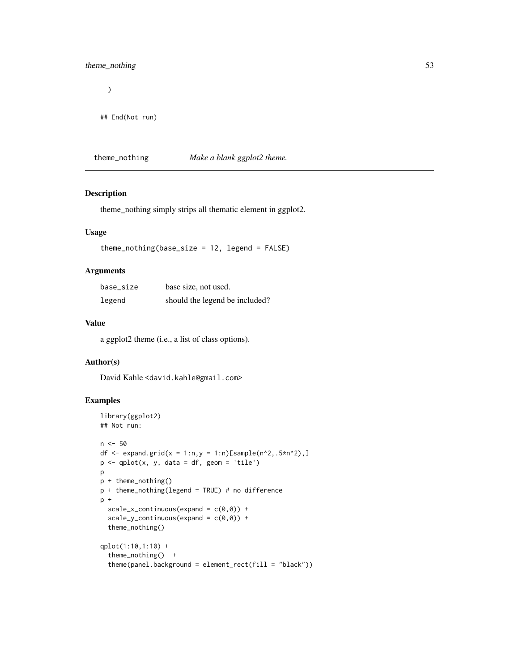## <span id="page-52-0"></span>theme\_nothing 53

)

```
## End(Not run)
```
theme\_nothing *Make a blank ggplot2 theme.*

## Description

theme\_nothing simply strips all thematic element in ggplot2.

## Usage

theme\_nothing(base\_size = 12, legend = FALSE)

## Arguments

| base size | base size, not used.           |
|-----------|--------------------------------|
| legend    | should the legend be included? |

## Value

a ggplot2 theme (i.e., a list of class options).

#### Author(s)

David Kahle <david.kahle@gmail.com>

```
library(ggplot2)
## Not run:
n <- 50
df <- expand.grid(x = 1:n,y = 1:n)[sample(n^2,.5*n^2),]
p \leftarrow qplot(x, y, data = df, geom = 'tile')p
p + theme_nothing()
p + theme_nothing(legend = TRUE) # no difference
p +
  scale_x_{continuous}(expand = c(\emptyset, \emptyset)) +
  scale_y_{continuous(expand = c(0, 0)) +theme_nothing()
qplot(1:10,1:10) +
  theme_nothing() +
  theme(panel.background = element_rect(fill = "black"))
```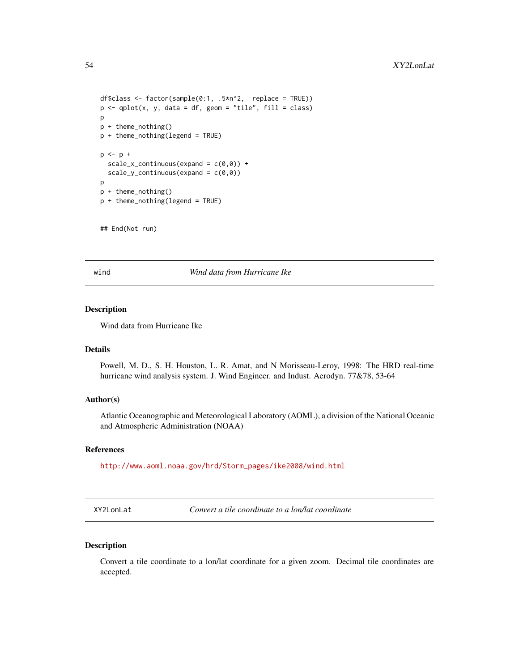```
df$class <- factor(sample(0:1, .5*n^2, replace = TRUE))
p \leftarrow qplot(x, y, data = df, geom = "tile", fill = class)\mathbf{D}p + theme_nothing()
p + theme_nothing(legend = TRUE)
p \le -p +scale_x_{continuous}(expand = c(\emptyset, \emptyset)) +
  scale_y_{continuous}(expand = c(\emptyset, \emptyset))
p
p + theme_nothing()
p + theme_nothing(legend = TRUE)
```
## End(Not run)

wind *Wind data from Hurricane Ike*

## Description

Wind data from Hurricane Ike

#### Details

Powell, M. D., S. H. Houston, L. R. Amat, and N Morisseau-Leroy, 1998: The HRD real-time hurricane wind analysis system. J. Wind Engineer. and Indust. Aerodyn. 77&78, 53-64

#### Author(s)

Atlantic Oceanographic and Meteorological Laboratory (AOML), a division of the National Oceanic and Atmospheric Administration (NOAA)

#### References

[http://www.aoml.noaa.gov/hrd/Storm\\_pages/ike2008/wind.html](http://www.aoml.noaa.gov/hrd/Storm_pages/ike2008/wind.html)

XY2LonLat *Convert a tile coordinate to a lon/lat coordinate*

## Description

Convert a tile coordinate to a lon/lat coordinate for a given zoom. Decimal tile coordinates are accepted.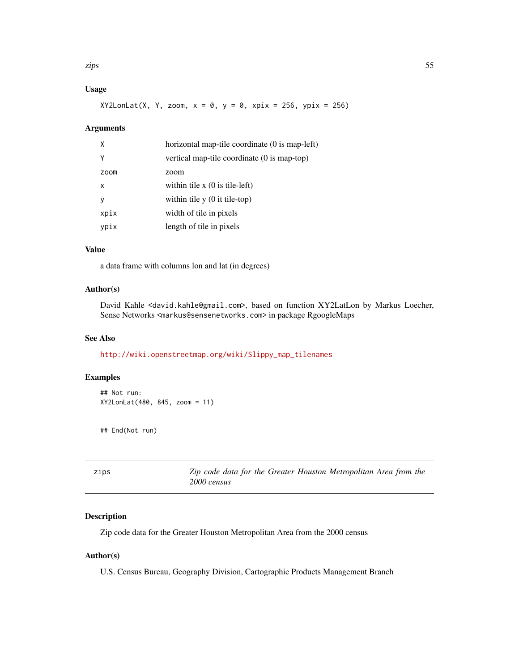<span id="page-54-0"></span>zips 55

## Usage

 $XYZLonLat(X, Y, zoom, x = 0, y = 0, xpix = 256, ypix = 256)$ 

## Arguments

| X            | horizontal map-tile coordinate (0 is map-left) |
|--------------|------------------------------------------------|
| Υ            | vertical map-tile coordinate (0 is map-top)    |
| zoom         | zoom                                           |
| $\mathsf{x}$ | within tile $x(0)$ is tile-left)               |
| <b>V</b>     | within tile $y(0)$ it tile-top)                |
| xpix         | width of tile in pixels                        |
| ypix         | length of tile in pixels                       |

### Value

a data frame with columns lon and lat (in degrees)

## Author(s)

David Kahle <david.kahle@gmail.com>, based on function XY2LatLon by Markus Loecher, Sense Networks <markus@sensenetworks.com> in package RgoogleMaps

## See Also

[http://wiki.openstreetmap.org/wiki/Slippy\\_map\\_tilenames](http://wiki.openstreetmap.org/wiki/Slippy_map_tilenames)

## Examples

```
## Not run:
XY2LonLat(480, 845, zoom = 11)
```
## End(Not run)

zips *Zip code data for the Greater Houston Metropolitan Area from the 2000 census*

## Description

Zip code data for the Greater Houston Metropolitan Area from the 2000 census

#### Author(s)

U.S. Census Bureau, Geography Division, Cartographic Products Management Branch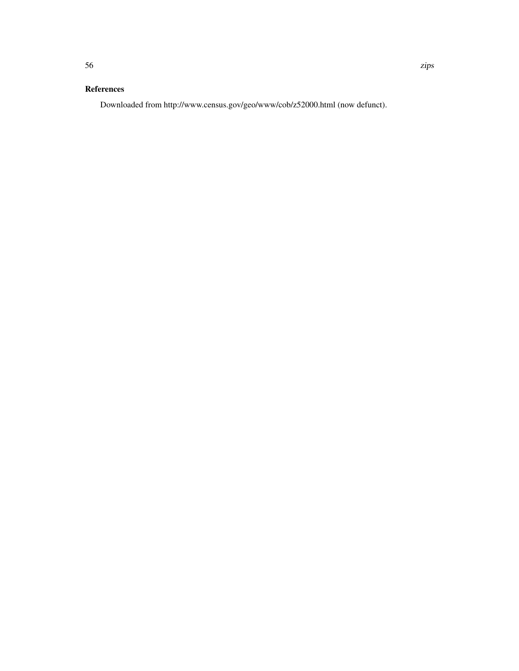## References

Downloaded from http://www.census.gov/geo/www/cob/z52000.html (now defunct).